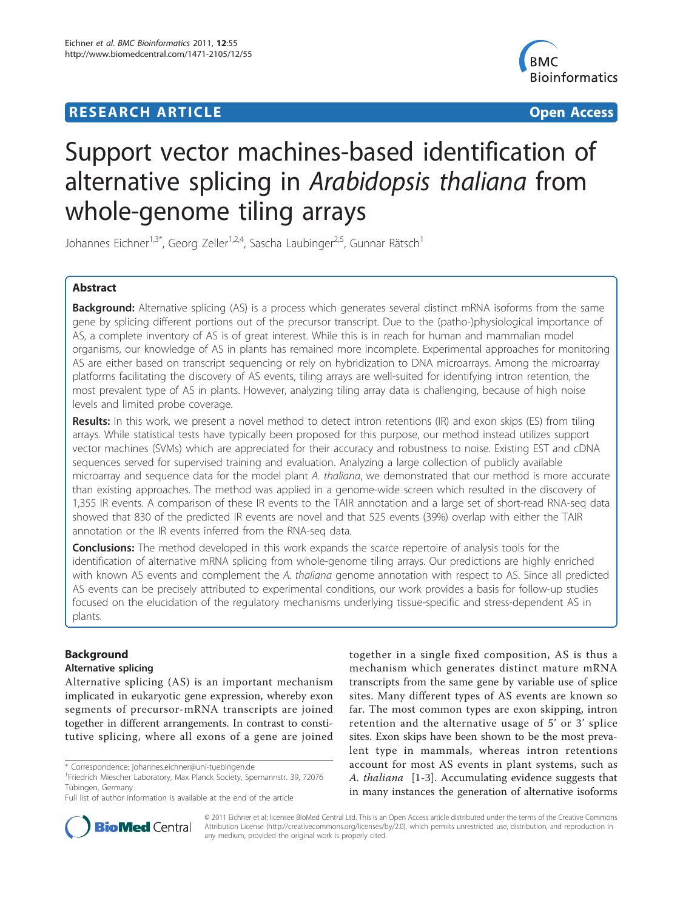## **RESEARCH ARTICLE CONSUMING ACCESS**



# Support vector machines-based identification of alternative splicing in Arabidopsis thaliana from whole-genome tiling arrays

Johannes Eichner<sup>1,3\*</sup>, Georg Zeller<sup>1,2,4</sup>, Sascha Laubinger<sup>2,5</sup>, Gunnar Rätsch<sup>1</sup>

## Abstract

Background: Alternative splicing (AS) is a process which generates several distinct mRNA isoforms from the same gene by splicing different portions out of the precursor transcript. Due to the (patho-)physiological importance of AS, a complete inventory of AS is of great interest. While this is in reach for human and mammalian model organisms, our knowledge of AS in plants has remained more incomplete. Experimental approaches for monitoring AS are either based on transcript sequencing or rely on hybridization to DNA microarrays. Among the microarray platforms facilitating the discovery of AS events, tiling arrays are well-suited for identifying intron retention, the most prevalent type of AS in plants. However, analyzing tiling array data is challenging, because of high noise levels and limited probe coverage.

Results: In this work, we present a novel method to detect intron retentions (IR) and exon skips (ES) from tiling arrays. While statistical tests have typically been proposed for this purpose, our method instead utilizes support vector machines (SVMs) which are appreciated for their accuracy and robustness to noise. Existing EST and cDNA sequences served for supervised training and evaluation. Analyzing a large collection of publicly available microarray and sequence data for the model plant A. thaliana, we demonstrated that our method is more accurate than existing approaches. The method was applied in a genome-wide screen which resulted in the discovery of 1,355 IR events. A comparison of these IR events to the TAIR annotation and a large set of short-read RNA-seq data showed that 830 of the predicted IR events are novel and that 525 events (39%) overlap with either the TAIR annotation or the IR events inferred from the RNA-seq data.

**Conclusions:** The method developed in this work expands the scarce repertoire of analysis tools for the identification of alternative mRNA splicing from whole-genome tiling arrays. Our predictions are highly enriched with known AS events and complement the A. thaliana genome annotation with respect to AS. Since all predicted AS events can be precisely attributed to experimental conditions, our work provides a basis for follow-up studies focused on the elucidation of the regulatory mechanisms underlying tissue-specific and stress-dependent AS in plants.

## Background

## Alternative splicing

Alternative splicing (AS) is an important mechanism implicated in eukaryotic gene expression, whereby exon segments of precursor-mRNA transcripts are joined together in different arrangements. In contrast to constitutive splicing, where all exons of a gene are joined

Full list of author information is available at the end of the article





© 2011 Eichner et al; licensee BioMed Central Ltd. This is an Open Access article distributed under the terms of the Creative Commons Attribution License [\(http://creativecommons.org/licenses/by/2.0](http://creativecommons.org/licenses/by/2.0)), which permits unrestricted use, distribution, and reproduction in any medium, provided the original work is properly cited.

<sup>\*</sup> Correspondence: [johannes.eichner@uni-tuebingen.de](mailto:johannes.eichner@uni-tuebingen.de)

<sup>&</sup>lt;sup>1</sup>Friedrich Miescher Laboratory, Max Planck Society, Spemannstr. 39, 72076 Tübingen, Germany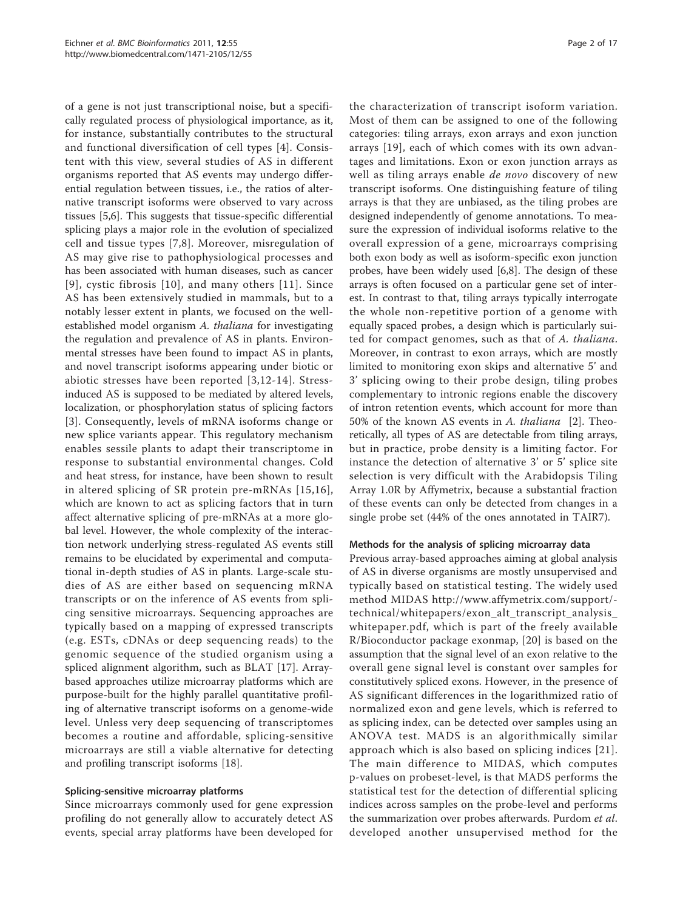of a gene is not just transcriptional noise, but a specifically regulated process of physiological importance, as it, for instance, substantially contributes to the structural and functional diversification of cell types [\[4](#page-15-0)]. Consistent with this view, several studies of AS in different organisms reported that AS events may undergo differential regulation between tissues, i.e., the ratios of alternative transcript isoforms were observed to vary across tissues [[5,6\]](#page-15-0). This suggests that tissue-specific differential splicing plays a major role in the evolution of specialized cell and tissue types [[7,8\]](#page-15-0). Moreover, misregulation of AS may give rise to pathophysiological processes and has been associated with human diseases, such as cancer [[9\]](#page-15-0), cystic fibrosis [[10](#page-15-0)], and many others [[11](#page-15-0)]. Since AS has been extensively studied in mammals, but to a notably lesser extent in plants, we focused on the wellestablished model organism A. *thaliana* for investigating the regulation and prevalence of AS in plants. Environmental stresses have been found to impact AS in plants, and novel transcript isoforms appearing under biotic or abiotic stresses have been reported [[3](#page-15-0),[12](#page-15-0)-[14\]](#page-15-0). Stressinduced AS is supposed to be mediated by altered levels, localization, or phosphorylation status of splicing factors [[3](#page-15-0)]. Consequently, levels of mRNA isoforms change or new splice variants appear. This regulatory mechanism enables sessile plants to adapt their transcriptome in response to substantial environmental changes. Cold and heat stress, for instance, have been shown to result in altered splicing of SR protein pre-mRNAs [[15](#page-15-0),[16\]](#page-15-0), which are known to act as splicing factors that in turn affect alternative splicing of pre-mRNAs at a more global level. However, the whole complexity of the interaction network underlying stress-regulated AS events still remains to be elucidated by experimental and computational in-depth studies of AS in plants. Large-scale studies of AS are either based on sequencing mRNA transcripts or on the inference of AS events from splicing sensitive microarrays. Sequencing approaches are typically based on a mapping of expressed transcripts (e.g. ESTs, cDNAs or deep sequencing reads) to the genomic sequence of the studied organism using a spliced alignment algorithm, such as BLAT [[17\]](#page-15-0). Arraybased approaches utilize microarray platforms which are purpose-built for the highly parallel quantitative profiling of alternative transcript isoforms on a genome-wide level. Unless very deep sequencing of transcriptomes becomes a routine and affordable, splicing-sensitive microarrays are still a viable alternative for detecting and profiling transcript isoforms [\[18](#page-15-0)].

#### Splicing-sensitive microarray platforms

Since microarrays commonly used for gene expression profiling do not generally allow to accurately detect AS events, special array platforms have been developed for

the characterization of transcript isoform variation. Most of them can be assigned to one of the following categories: tiling arrays, exon arrays and exon junction arrays [\[19\]](#page-15-0), each of which comes with its own advantages and limitations. Exon or exon junction arrays as well as tiling arrays enable de novo discovery of new transcript isoforms. One distinguishing feature of tiling arrays is that they are unbiased, as the tiling probes are designed independently of genome annotations. To measure the expression of individual isoforms relative to the overall expression of a gene, microarrays comprising both exon body as well as isoform-specific exon junction probes, have been widely used [[6,8\]](#page-15-0). The design of these arrays is often focused on a particular gene set of interest. In contrast to that, tiling arrays typically interrogate the whole non-repetitive portion of a genome with equally spaced probes, a design which is particularly suited for compact genomes, such as that of A. thaliana. Moreover, in contrast to exon arrays, which are mostly limited to monitoring exon skips and alternative 5' and 3' splicing owing to their probe design, tiling probes complementary to intronic regions enable the discovery of intron retention events, which account for more than 50% of the known AS events in A. thaliana [\[2](#page-15-0)]. Theoretically, all types of AS are detectable from tiling arrays, but in practice, probe density is a limiting factor. For instance the detection of alternative 3' or 5' splice site selection is very difficult with the Arabidopsis Tiling Array 1.0R by Affymetrix, because a substantial fraction of these events can only be detected from changes in a single probe set (44% of the ones annotated in TAIR7).

#### Methods for the analysis of splicing microarray data

Previous array-based approaches aiming at global analysis of AS in diverse organisms are mostly unsupervised and typically based on statistical testing. The widely used method MIDAS [http://www.affymetrix.com/support/](http://www.affymetrix.com/support/technical/whitepapers/exon_alt_transcript_analysis_whitepaper.pdf) [technical/whitepapers/exon\\_alt\\_transcript\\_analysis\\_](http://www.affymetrix.com/support/technical/whitepapers/exon_alt_transcript_analysis_whitepaper.pdf) [whitepaper.pdf,](http://www.affymetrix.com/support/technical/whitepapers/exon_alt_transcript_analysis_whitepaper.pdf) which is part of the freely available R/Bioconductor package exonmap, [[20\]](#page-15-0) is based on the assumption that the signal level of an exon relative to the overall gene signal level is constant over samples for constitutively spliced exons. However, in the presence of AS significant differences in the logarithmized ratio of normalized exon and gene levels, which is referred to as splicing index, can be detected over samples using an ANOVA test. MADS is an algorithmically similar approach which is also based on splicing indices [[21](#page-15-0)]. The main difference to MIDAS, which computes p-values on probeset-level, is that MADS performs the statistical test for the detection of differential splicing indices across samples on the probe-level and performs the summarization over probes afterwards. Purdom et al. developed another unsupervised method for the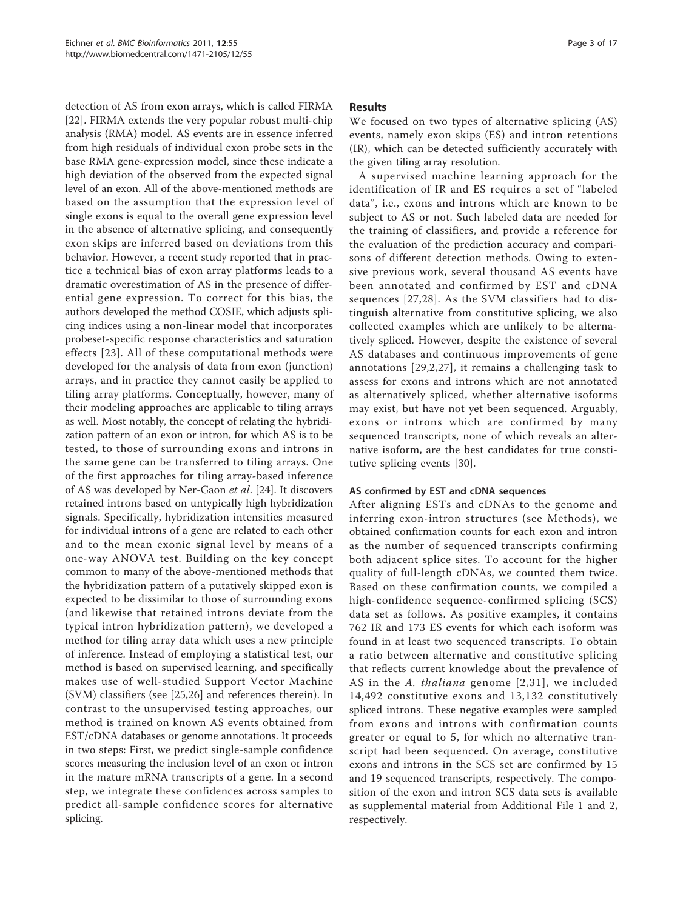detection of AS from exon arrays, which is called FIRMA [[22\]](#page-15-0). FIRMA extends the very popular robust multi-chip analysis (RMA) model. AS events are in essence inferred from high residuals of individual exon probe sets in the base RMA gene-expression model, since these indicate a high deviation of the observed from the expected signal level of an exon. All of the above-mentioned methods are based on the assumption that the expression level of single exons is equal to the overall gene expression level in the absence of alternative splicing, and consequently exon skips are inferred based on deviations from this behavior. However, a recent study reported that in practice a technical bias of exon array platforms leads to a dramatic overestimation of AS in the presence of differential gene expression. To correct for this bias, the authors developed the method COSIE, which adjusts splicing indices using a non-linear model that incorporates probeset-specific response characteristics and saturation effects [[23\]](#page-15-0). All of these computational methods were developed for the analysis of data from exon (junction) arrays, and in practice they cannot easily be applied to tiling array platforms. Conceptually, however, many of their modeling approaches are applicable to tiling arrays as well. Most notably, the concept of relating the hybridization pattern of an exon or intron, for which AS is to be tested, to those of surrounding exons and introns in the same gene can be transferred to tiling arrays. One of the first approaches for tiling array-based inference of AS was developed by Ner-Gaon et al. [\[24\]](#page-15-0). It discovers retained introns based on untypically high hybridization signals. Specifically, hybridization intensities measured for individual introns of a gene are related to each other and to the mean exonic signal level by means of a one-way ANOVA test. Building on the key concept common to many of the above-mentioned methods that the hybridization pattern of a putatively skipped exon is expected to be dissimilar to those of surrounding exons (and likewise that retained introns deviate from the typical intron hybridization pattern), we developed a method for tiling array data which uses a new principle of inference. Instead of employing a statistical test, our method is based on supervised learning, and specifically makes use of well-studied Support Vector Machine (SVM) classifiers (see [[25,26](#page-15-0)] and references therein). In contrast to the unsupervised testing approaches, our method is trained on known AS events obtained from EST/cDNA databases or genome annotations. It proceeds in two steps: First, we predict single-sample confidence scores measuring the inclusion level of an exon or intron in the mature mRNA transcripts of a gene. In a second step, we integrate these confidences across samples to predict all-sample confidence scores for alternative splicing.

## Results

We focused on two types of alternative splicing (AS) events, namely exon skips (ES) and intron retentions (IR), which can be detected sufficiently accurately with the given tiling array resolution.

A supervised machine learning approach for the identification of IR and ES requires a set of "labeled data", i.e., exons and introns which are known to be subject to AS or not. Such labeled data are needed for the training of classifiers, and provide a reference for the evaluation of the prediction accuracy and comparisons of different detection methods. Owing to extensive previous work, several thousand AS events have been annotated and confirmed by EST and cDNA sequences [\[27,28](#page-15-0)]. As the SVM classifiers had to distinguish alternative from constitutive splicing, we also collected examples which are unlikely to be alternatively spliced. However, despite the existence of several AS databases and continuous improvements of gene annotations [[29](#page-15-0),[2,27](#page-15-0)], it remains a challenging task to assess for exons and introns which are not annotated as alternatively spliced, whether alternative isoforms may exist, but have not yet been sequenced. Arguably, exons or introns which are confirmed by many sequenced transcripts, none of which reveals an alternative isoform, are the best candidates for true constitutive splicing events [[30\]](#page-15-0).

#### AS confirmed by EST and cDNA sequences

After aligning ESTs and cDNAs to the genome and inferring exon-intron structures (see Methods), we obtained confirmation counts for each exon and intron as the number of sequenced transcripts confirming both adjacent splice sites. To account for the higher quality of full-length cDNAs, we counted them twice. Based on these confirmation counts, we compiled a high-confidence sequence-confirmed splicing (SCS) data set as follows. As positive examples, it contains 762 IR and 173 ES events for which each isoform was found in at least two sequenced transcripts. To obtain a ratio between alternative and constitutive splicing that reflects current knowledge about the prevalence of AS in the A. thaliana genome [[2](#page-15-0),[31\]](#page-15-0), we included 14,492 constitutive exons and 13,132 constitutively spliced introns. These negative examples were sampled from exons and introns with confirmation counts greater or equal to 5, for which no alternative transcript had been sequenced. On average, constitutive exons and introns in the SCS set are confirmed by 15 and 19 sequenced transcripts, respectively. The composition of the exon and intron SCS data sets is available as supplemental material from Additional File [1](#page-14-0) and [2](#page-14-0), respectively.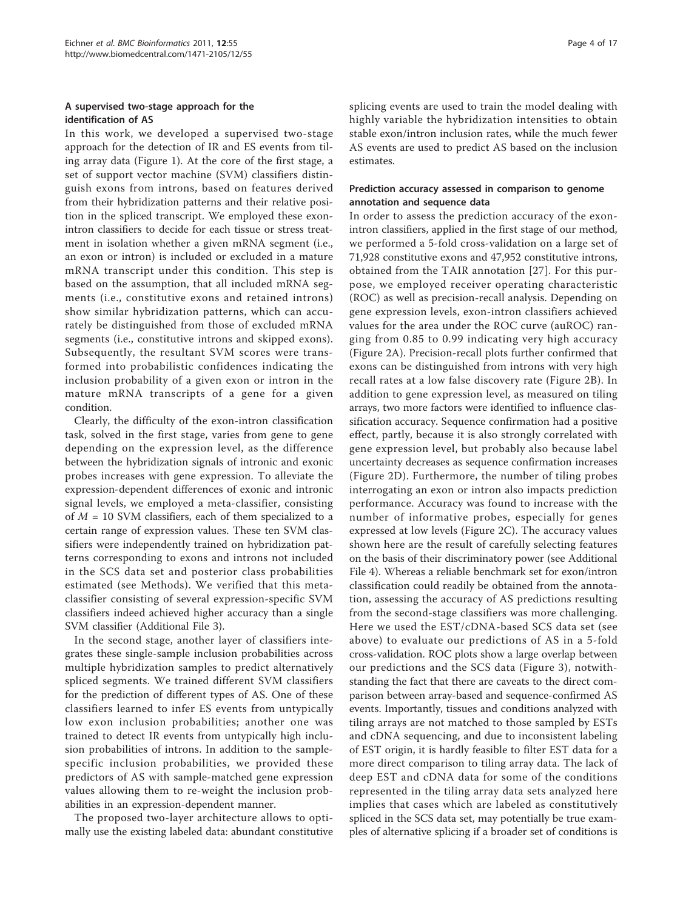## A supervised two-stage approach for the identification of AS

In this work, we developed a supervised two-stage approach for the detection of IR and ES events from tiling array data (Figure [1](#page-4-0)). At the core of the first stage, a set of support vector machine (SVM) classifiers distinguish exons from introns, based on features derived from their hybridization patterns and their relative position in the spliced transcript. We employed these exonintron classifiers to decide for each tissue or stress treatment in isolation whether a given mRNA segment (i.e., an exon or intron) is included or excluded in a mature mRNA transcript under this condition. This step is based on the assumption, that all included mRNA segments (i.e., constitutive exons and retained introns) show similar hybridization patterns, which can accurately be distinguished from those of excluded mRNA segments (i.e., constitutive introns and skipped exons). Subsequently, the resultant SVM scores were transformed into probabilistic confidences indicating the inclusion probability of a given exon or intron in the mature mRNA transcripts of a gene for a given condition.

Clearly, the difficulty of the exon-intron classification task, solved in the first stage, varies from gene to gene depending on the expression level, as the difference between the hybridization signals of intronic and exonic probes increases with gene expression. To alleviate the expression-dependent differences of exonic and intronic signal levels, we employed a meta-classifier, consisting of  $M = 10$  SVM classifiers, each of them specialized to a certain range of expression values. These ten SVM classifiers were independently trained on hybridization patterns corresponding to exons and introns not included in the SCS data set and posterior class probabilities estimated (see Methods). We verified that this metaclassifier consisting of several expression-specific SVM classifiers indeed achieved higher accuracy than a single SVM classifier (Additional File [3\)](#page-14-0).

In the second stage, another layer of classifiers integrates these single-sample inclusion probabilities across multiple hybridization samples to predict alternatively spliced segments. We trained different SVM classifiers for the prediction of different types of AS. One of these classifiers learned to infer ES events from untypically low exon inclusion probabilities; another one was trained to detect IR events from untypically high inclusion probabilities of introns. In addition to the samplespecific inclusion probabilities, we provided these predictors of AS with sample-matched gene expression values allowing them to re-weight the inclusion probabilities in an expression-dependent manner.

The proposed two-layer architecture allows to optimally use the existing labeled data: abundant constitutive splicing events are used to train the model dealing with highly variable the hybridization intensities to obtain stable exon/intron inclusion rates, while the much fewer AS events are used to predict AS based on the inclusion estimates.

## Prediction accuracy assessed in comparison to genome annotation and sequence data

In order to assess the prediction accuracy of the exonintron classifiers, applied in the first stage of our method, we performed a 5-fold cross-validation on a large set of 71,928 constitutive exons and 47,952 constitutive introns, obtained from the TAIR annotation [[27\]](#page-15-0). For this purpose, we employed receiver operating characteristic (ROC) as well as precision-recall analysis. Depending on gene expression levels, exon-intron classifiers achieved values for the area under the ROC curve (auROC) ranging from 0.85 to 0.99 indicating very high accuracy (Figure [2A\)](#page-5-0). Precision-recall plots further confirmed that exons can be distinguished from introns with very high recall rates at a low false discovery rate (Figure [2B\)](#page-5-0). In addition to gene expression level, as measured on tiling arrays, two more factors were identified to influence classification accuracy. Sequence confirmation had a positive effect, partly, because it is also strongly correlated with gene expression level, but probably also because label uncertainty decreases as sequence confirmation increases (Figure [2D\)](#page-5-0). Furthermore, the number of tiling probes interrogating an exon or intron also impacts prediction performance. Accuracy was found to increase with the number of informative probes, especially for genes expressed at low levels (Figure [2C](#page-5-0)). The accuracy values shown here are the result of carefully selecting features on the basis of their discriminatory power (see Additional File [4\)](#page-14-0). Whereas a reliable benchmark set for exon/intron classification could readily be obtained from the annotation, assessing the accuracy of AS predictions resulting from the second-stage classifiers was more challenging. Here we used the EST/cDNA-based SCS data set (see above) to evaluate our predictions of AS in a 5-fold cross-validation. ROC plots show a large overlap between our predictions and the SCS data (Figure [3](#page-5-0)), notwithstanding the fact that there are caveats to the direct comparison between array-based and sequence-confirmed AS events. Importantly, tissues and conditions analyzed with tiling arrays are not matched to those sampled by ESTs and cDNA sequencing, and due to inconsistent labeling of EST origin, it is hardly feasible to filter EST data for a more direct comparison to tiling array data. The lack of deep EST and cDNA data for some of the conditions represented in the tiling array data sets analyzed here implies that cases which are labeled as constitutively spliced in the SCS data set, may potentially be true examples of alternative splicing if a broader set of conditions is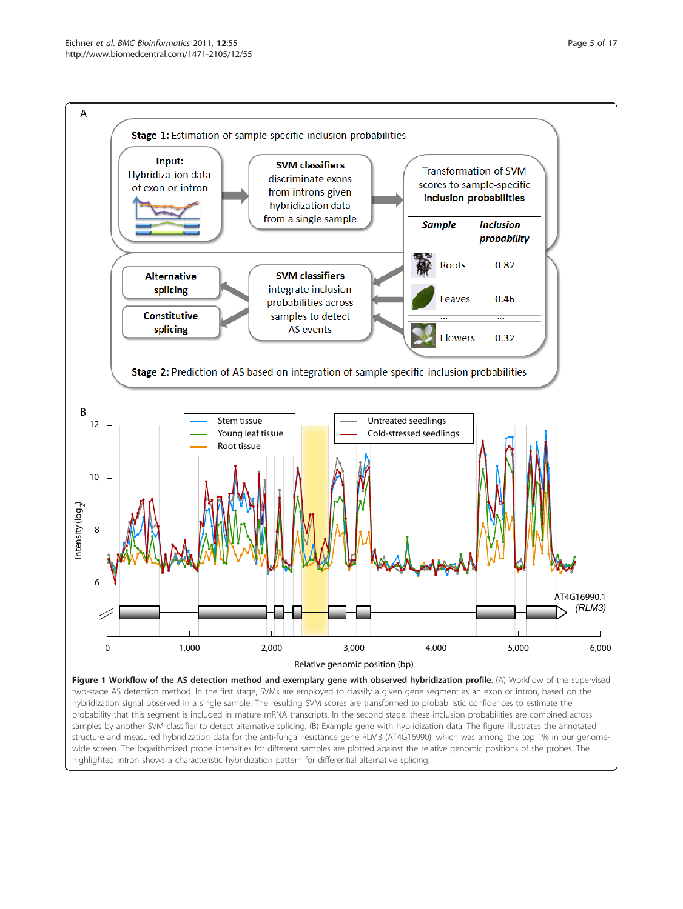

<span id="page-4-0"></span>hybridization signal observed in a single sample. The resulting SVM scores are transformed to probabilistic confidences to estimate the probability that this segment is included in mature mRNA transcripts. In the second stage, these inclusion probabilities are combined across samples by another SVM classifier to detect alternative splicing. (B) Example gene with hybridization data. The figure illustrates the annotated structure and measured hybridization data for the anti-fungal resistance gene RLM3 (AT4G16990), which was among the top 1% in our genomewide screen. The logarithmized probe intensities for different samples are plotted against the relative genomic positions of the probes. The highlighted intron shows a characteristic hybridization pattern for differential alternative splicing.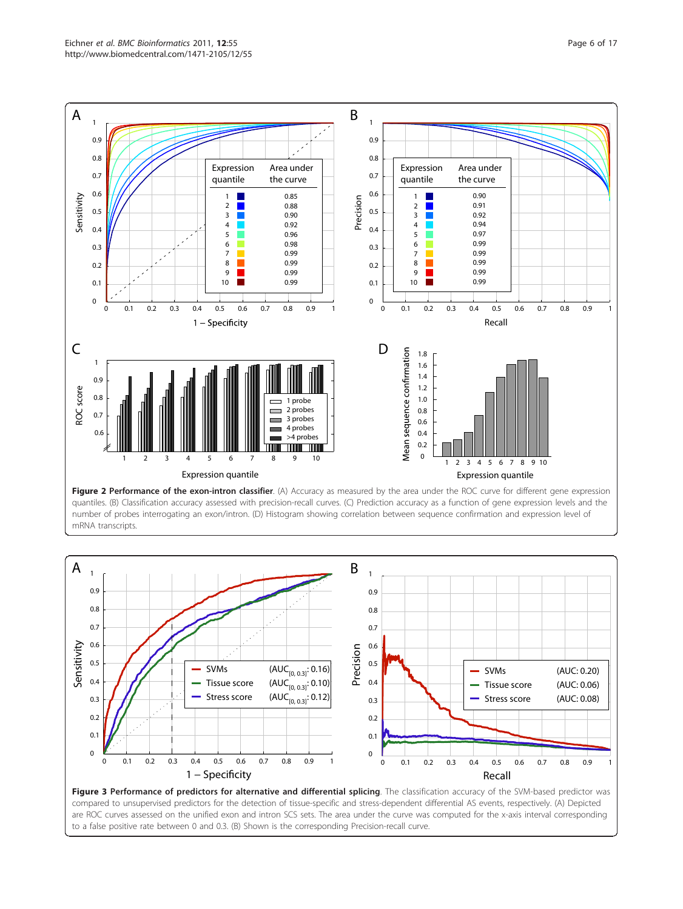

number of probes interrogating an exon/intron. (D) Histogram showing correlation between sequence confirmation and expression level of mRNA transcripts.



<span id="page-5-0"></span>compared to unsupervised predictors for the detection of tissue-specific and stress-dependent differential AS events, respectively. (A) Depicted are ROC curves assessed on the unified exon and intron SCS sets. The area under the curve was computed for the x-axis interval corresponding to a false positive rate between 0 and 0.3. (B) Shown is the corresponding Precision-recall curve.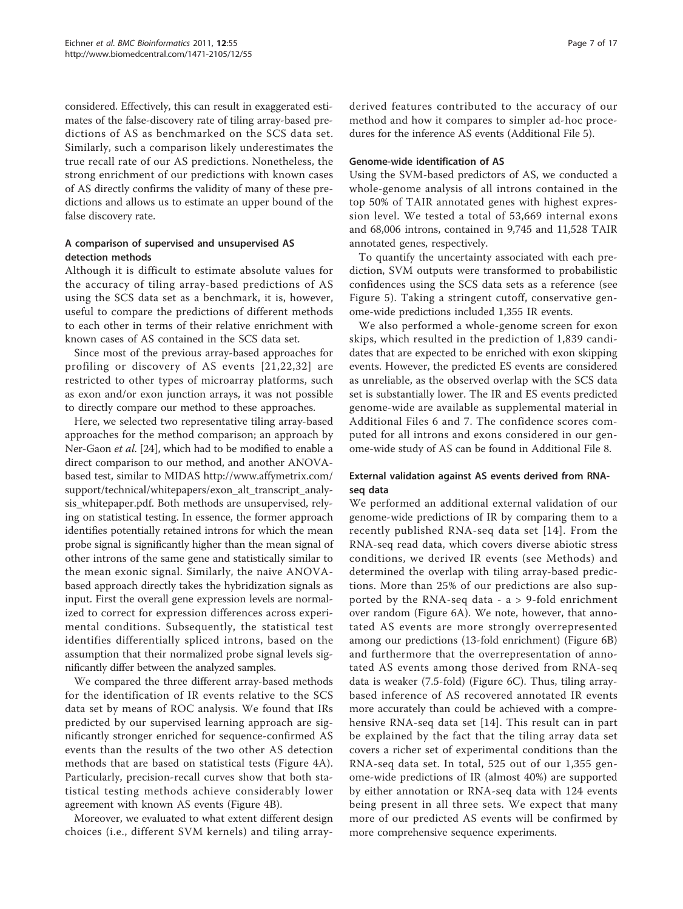considered. Effectively, this can result in exaggerated estimates of the false-discovery rate of tiling array-based predictions of AS as benchmarked on the SCS data set. Similarly, such a comparison likely underestimates the true recall rate of our AS predictions. Nonetheless, the strong enrichment of our predictions with known cases of AS directly confirms the validity of many of these predictions and allows us to estimate an upper bound of the false discovery rate.

## A comparison of supervised and unsupervised AS detection methods

Although it is difficult to estimate absolute values for the accuracy of tiling array-based predictions of AS using the SCS data set as a benchmark, it is, however, useful to compare the predictions of different methods to each other in terms of their relative enrichment with known cases of AS contained in the SCS data set.

Since most of the previous array-based approaches for profiling or discovery of AS events [[21,22](#page-15-0),[32\]](#page-15-0) are restricted to other types of microarray platforms, such as exon and/or exon junction arrays, it was not possible to directly compare our method to these approaches.

Here, we selected two representative tiling array-based approaches for the method comparison; an approach by Ner-Gaon et al. [\[24\]](#page-15-0), which had to be modified to enable a direct comparison to our method, and another ANOVAbased test, similar to MIDAS [http://www.affymetrix.com/](http://www.affymetrix.com/support/technical/whitepapers/exon_alt_transcript_analysis_whitepaper.pdf) [support/technical/whitepapers/exon\\_alt\\_transcript\\_analy](http://www.affymetrix.com/support/technical/whitepapers/exon_alt_transcript_analysis_whitepaper.pdf)[sis\\_whitepaper.pdf](http://www.affymetrix.com/support/technical/whitepapers/exon_alt_transcript_analysis_whitepaper.pdf). Both methods are unsupervised, relying on statistical testing. In essence, the former approach identifies potentially retained introns for which the mean probe signal is significantly higher than the mean signal of other introns of the same gene and statistically similar to the mean exonic signal. Similarly, the naive ANOVAbased approach directly takes the hybridization signals as input. First the overall gene expression levels are normalized to correct for expression differences across experimental conditions. Subsequently, the statistical test identifies differentially spliced introns, based on the assumption that their normalized probe signal levels significantly differ between the analyzed samples.

We compared the three different array-based methods for the identification of IR events relative to the SCS data set by means of ROC analysis. We found that IRs predicted by our supervised learning approach are significantly stronger enriched for sequence-confirmed AS events than the results of the two other AS detection methods that are based on statistical tests (Figure [4A](#page-7-0)). Particularly, precision-recall curves show that both statistical testing methods achieve considerably lower agreement with known AS events (Figure [4B\)](#page-7-0).

Moreover, we evaluated to what extent different design choices (i.e., different SVM kernels) and tiling arrayderived features contributed to the accuracy of our method and how it compares to simpler ad-hoc procedures for the inference AS events (Additional File [5](#page-14-0)).

### Genome-wide identification of AS

Using the SVM-based predictors of AS, we conducted a whole-genome analysis of all introns contained in the top 50% of TAIR annotated genes with highest expression level. We tested a total of 53,669 internal exons and 68,006 introns, contained in 9,745 and 11,528 TAIR annotated genes, respectively.

To quantify the uncertainty associated with each prediction, SVM outputs were transformed to probabilistic confidences using the SCS data sets as a reference (see Figure [5](#page-7-0)). Taking a stringent cutoff, conservative genome-wide predictions included 1,355 IR events.

We also performed a whole-genome screen for exon skips, which resulted in the prediction of 1,839 candidates that are expected to be enriched with exon skipping events. However, the predicted ES events are considered as unreliable, as the observed overlap with the SCS data set is substantially lower. The IR and ES events predicted genome-wide are available as supplemental material in Additional Files [6](#page-14-0) and [7.](#page-14-0) The confidence scores computed for all introns and exons considered in our genome-wide study of AS can be found in Additional File [8](#page-14-0).

## External validation against AS events derived from RNAseq data

We performed an additional external validation of our genome-wide predictions of IR by comparing them to a recently published RNA-seq data set [[14\]](#page-15-0). From the RNA-seq read data, which covers diverse abiotic stress conditions, we derived IR events (see Methods) and determined the overlap with tiling array-based predictions. More than 25% of our predictions are also supported by the RNA-seq data - a > 9-fold enrichment over random (Figure [6A](#page-8-0)). We note, however, that annotated AS events are more strongly overrepresented among our predictions (13-fold enrichment) (Figure [6B](#page-8-0)) and furthermore that the overrepresentation of annotated AS events among those derived from RNA-seq data is weaker (7.5-fold) (Figure [6C\)](#page-8-0). Thus, tiling arraybased inference of AS recovered annotated IR events more accurately than could be achieved with a comprehensive RNA-seq data set [[14](#page-15-0)]. This result can in part be explained by the fact that the tiling array data set covers a richer set of experimental conditions than the RNA-seq data set. In total, 525 out of our 1,355 genome-wide predictions of IR (almost 40%) are supported by either annotation or RNA-seq data with 124 events being present in all three sets. We expect that many more of our predicted AS events will be confirmed by more comprehensive sequence experiments.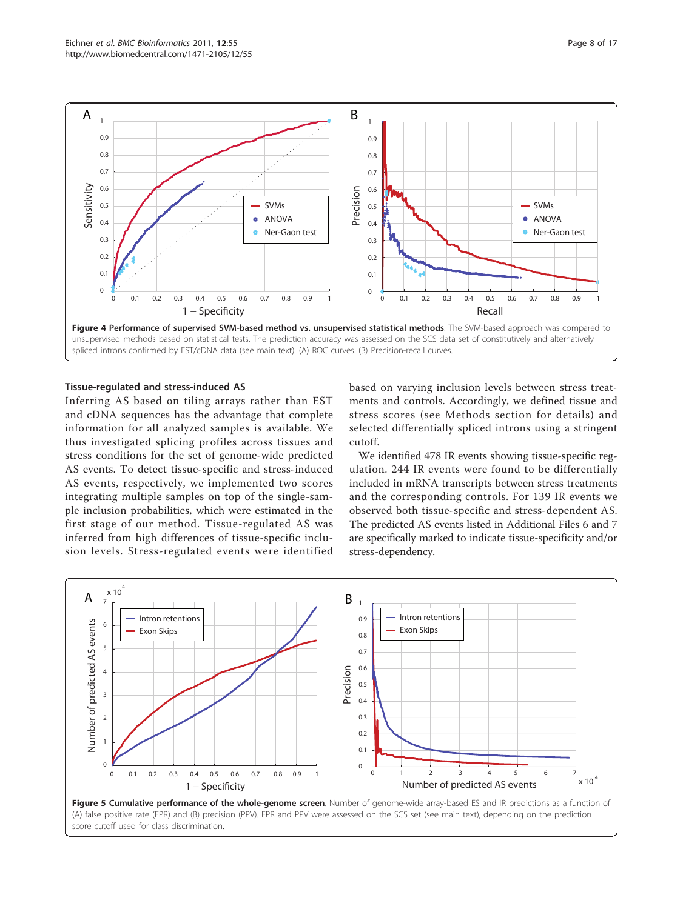

#### Tissue-regulated and stress-induced AS

Inferring AS based on tiling arrays rather than EST and cDNA sequences has the advantage that complete information for all analyzed samples is available. We thus investigated splicing profiles across tissues and stress conditions for the set of genome-wide predicted AS events. To detect tissue-specific and stress-induced AS events, respectively, we implemented two scores integrating multiple samples on top of the single-sample inclusion probabilities, which were estimated in the first stage of our method. Tissue-regulated AS was inferred from high differences of tissue-specific inclusion levels. Stress-regulated events were identified based on varying inclusion levels between stress treatments and controls. Accordingly, we defined tissue and stress scores (see Methods section for details) and selected differentially spliced introns using a stringent cutoff.

We identified 478 IR events showing tissue-specific regulation. 244 IR events were found to be differentially included in mRNA transcripts between stress treatments and the corresponding controls. For 139 IR events we observed both tissue-specific and stress-dependent AS. The predicted AS events listed in Additional Files [6](#page-14-0) and [7](#page-14-0) are specifically marked to indicate tissue-specificity and/or stress-dependency.



<span id="page-7-0"></span>score cutoff used for class discrimination.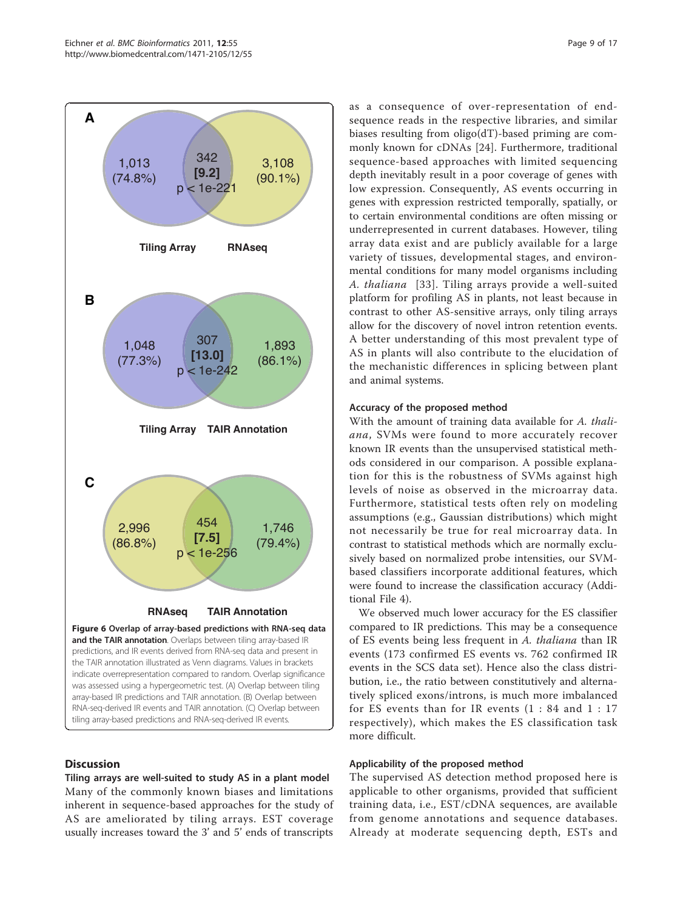Figure 6 Overlap of array-based predictions with RNA-seq data and the TAIR annotation. Overlaps between tiling array-based IR predictions, and IR events derived from RNA-seq data and present in the TAIR annotation illustrated as Venn diagrams. Values in brackets indicate overrepresentation compared to random. Overlap significance was assessed using a hypergeometric test. (A) Overlap between tiling array-based IR predictions and TAIR annotation. (B) Overlap between RNA-seq-derived IR events and TAIR annotation. (C) Overlap between tiling array-based predictions and RNA-seq-derived IR events.

## **Discussion**

<span id="page-8-0"></span>Tiling arrays are well-suited to study AS in a plant model Many of the commonly known biases and limitations inherent in sequence-based approaches for the study of AS are ameliorated by tiling arrays. EST coverage usually increases toward the 3' and 5' ends of transcripts as a consequence of over-representation of endsequence reads in the respective libraries, and similar biases resulting from oligo(dT)-based priming are commonly known for cDNAs [[24\]](#page-15-0). Furthermore, traditional sequence-based approaches with limited sequencing depth inevitably result in a poor coverage of genes with low expression. Consequently, AS events occurring in genes with expression restricted temporally, spatially, or to certain environmental conditions are often missing or underrepresented in current databases. However, tiling array data exist and are publicly available for a large variety of tissues, developmental stages, and environmental conditions for many model organisms including A. thaliana [[33](#page-15-0)]. Tiling arrays provide a well-suited platform for profiling AS in plants, not least because in contrast to other AS-sensitive arrays, only tiling arrays allow for the discovery of novel intron retention events. A better understanding of this most prevalent type of AS in plants will also contribute to the elucidation of the mechanistic differences in splicing between plant and animal systems.

#### Accuracy of the proposed method

With the amount of training data available for A. thaliana, SVMs were found to more accurately recover known IR events than the unsupervised statistical methods considered in our comparison. A possible explanation for this is the robustness of SVMs against high levels of noise as observed in the microarray data. Furthermore, statistical tests often rely on modeling assumptions (e.g., Gaussian distributions) which might not necessarily be true for real microarray data. In contrast to statistical methods which are normally exclusively based on normalized probe intensities, our SVMbased classifiers incorporate additional features, which were found to increase the classification accuracy (Additional File [4\)](#page-14-0).

We observed much lower accuracy for the ES classifier compared to IR predictions. This may be a consequence of ES events being less frequent in A. thaliana than IR events (173 confirmed ES events vs. 762 confirmed IR events in the SCS data set). Hence also the class distribution, i.e., the ratio between constitutively and alternatively spliced exons/introns, is much more imbalanced for ES events than for IR events (1 : 84 and 1 : 17 respectively), which makes the ES classification task more difficult.

#### Applicability of the proposed method

The supervised AS detection method proposed here is applicable to other organisms, provided that sufficient training data, i.e., EST/cDNA sequences, are available from genome annotations and sequence databases. Already at moderate sequencing depth, ESTs and

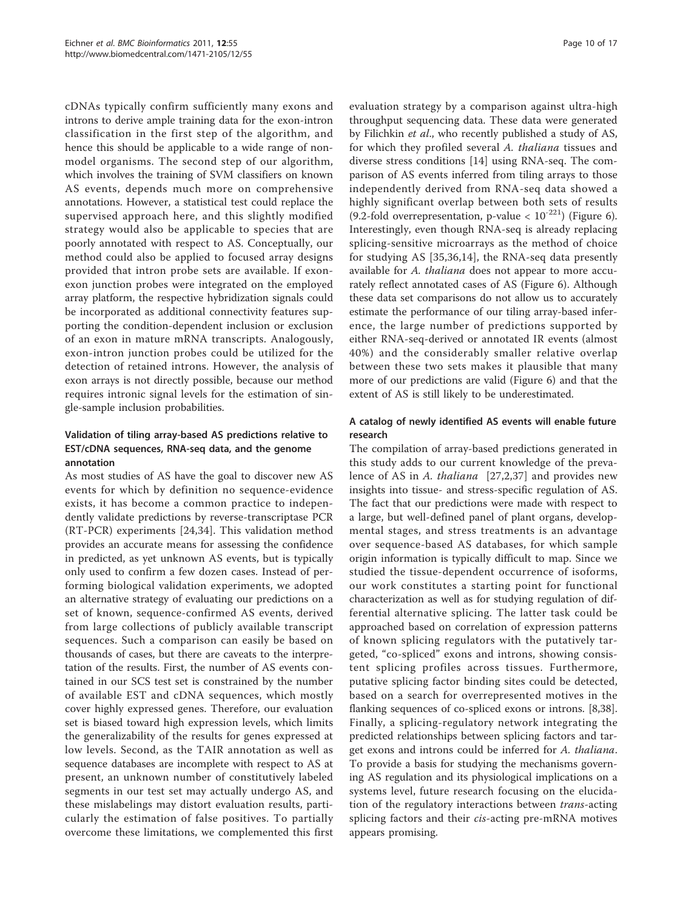cDNAs typically confirm sufficiently many exons and introns to derive ample training data for the exon-intron classification in the first step of the algorithm, and hence this should be applicable to a wide range of nonmodel organisms. The second step of our algorithm, which involves the training of SVM classifiers on known AS events, depends much more on comprehensive annotations. However, a statistical test could replace the supervised approach here, and this slightly modified strategy would also be applicable to species that are poorly annotated with respect to AS. Conceptually, our method could also be applied to focused array designs provided that intron probe sets are available. If exonexon junction probes were integrated on the employed array platform, the respective hybridization signals could be incorporated as additional connectivity features supporting the condition-dependent inclusion or exclusion of an exon in mature mRNA transcripts. Analogously, exon-intron junction probes could be utilized for the detection of retained introns. However, the analysis of exon arrays is not directly possible, because our method requires intronic signal levels for the estimation of single-sample inclusion probabilities.

## Validation of tiling array-based AS predictions relative to EST/cDNA sequences, RNA-seq data, and the genome annotation

As most studies of AS have the goal to discover new AS events for which by definition no sequence-evidence exists, it has become a common practice to independently validate predictions by reverse-transcriptase PCR (RT-PCR) experiments [[24](#page-15-0),[34\]](#page-15-0). This validation method provides an accurate means for assessing the confidence in predicted, as yet unknown AS events, but is typically only used to confirm a few dozen cases. Instead of performing biological validation experiments, we adopted an alternative strategy of evaluating our predictions on a set of known, sequence-confirmed AS events, derived from large collections of publicly available transcript sequences. Such a comparison can easily be based on thousands of cases, but there are caveats to the interpretation of the results. First, the number of AS events contained in our SCS test set is constrained by the number of available EST and cDNA sequences, which mostly cover highly expressed genes. Therefore, our evaluation set is biased toward high expression levels, which limits the generalizability of the results for genes expressed at low levels. Second, as the TAIR annotation as well as sequence databases are incomplete with respect to AS at present, an unknown number of constitutively labeled segments in our test set may actually undergo AS, and these mislabelings may distort evaluation results, particularly the estimation of false positives. To partially overcome these limitations, we complemented this first

evaluation strategy by a comparison against ultra-high throughput sequencing data. These data were generated by Filichkin et al., who recently published a study of AS, for which they profiled several A. thaliana tissues and diverse stress conditions [[14\]](#page-15-0) using RNA-seq. The comparison of AS events inferred from tiling arrays to those independently derived from RNA-seq data showed a highly significant overlap between both sets of results (9.2-fold overrepresentation, p-value <  $10^{-221}$ ) (Figure [6](#page-8-0)). Interestingly, even though RNA-seq is already replacing splicing-sensitive microarrays as the method of choice for studying AS [[35,36,14](#page-15-0)], the RNA-seq data presently available for A. thaliana does not appear to more accurately reflect annotated cases of AS (Figure [6](#page-8-0)). Although these data set comparisons do not allow us to accurately estimate the performance of our tiling array-based inference, the large number of predictions supported by either RNA-seq-derived or annotated IR events (almost 40%) and the considerably smaller relative overlap between these two sets makes it plausible that many more of our predictions are valid (Figure [6\)](#page-8-0) and that the extent of AS is still likely to be underestimated.

## A catalog of newly identified AS events will enable future research

The compilation of array-based predictions generated in this study adds to our current knowledge of the preva-lence of AS in A. thaliana [\[27](#page-15-0),[2,37](#page-15-0)] and provides new insights into tissue- and stress-specific regulation of AS. The fact that our predictions were made with respect to a large, but well-defined panel of plant organs, developmental stages, and stress treatments is an advantage over sequence-based AS databases, for which sample origin information is typically difficult to map. Since we studied the tissue-dependent occurrence of isoforms, our work constitutes a starting point for functional characterization as well as for studying regulation of differential alternative splicing. The latter task could be approached based on correlation of expression patterns of known splicing regulators with the putatively targeted, "co-spliced" exons and introns, showing consistent splicing profiles across tissues. Furthermore, putative splicing factor binding sites could be detected, based on a search for overrepresented motives in the flanking sequences of co-spliced exons or introns. [[8](#page-15-0),[38](#page-15-0)]. Finally, a splicing-regulatory network integrating the predicted relationships between splicing factors and target exons and introns could be inferred for A. thaliana. To provide a basis for studying the mechanisms governing AS regulation and its physiological implications on a systems level, future research focusing on the elucidation of the regulatory interactions between *trans-*acting splicing factors and their cis-acting pre-mRNA motives appears promising.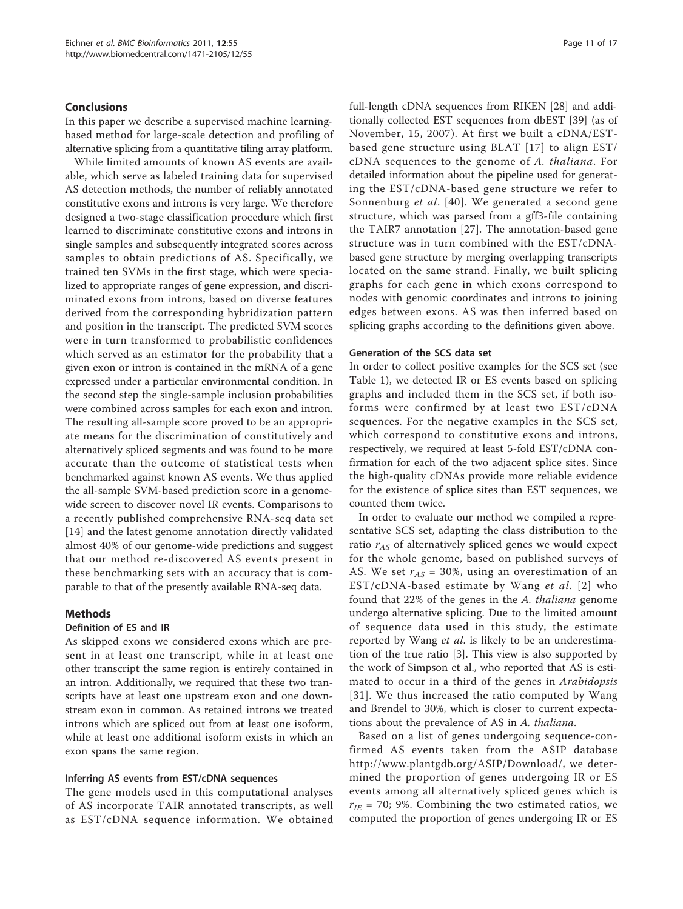#### Conclusions

In this paper we describe a supervised machine learningbased method for large-scale detection and profiling of alternative splicing from a quantitative tiling array platform.

While limited amounts of known AS events are available, which serve as labeled training data for supervised AS detection methods, the number of reliably annotated constitutive exons and introns is very large. We therefore designed a two-stage classification procedure which first learned to discriminate constitutive exons and introns in single samples and subsequently integrated scores across samples to obtain predictions of AS. Specifically, we trained ten SVMs in the first stage, which were specialized to appropriate ranges of gene expression, and discriminated exons from introns, based on diverse features derived from the corresponding hybridization pattern and position in the transcript. The predicted SVM scores were in turn transformed to probabilistic confidences which served as an estimator for the probability that a given exon or intron is contained in the mRNA of a gene expressed under a particular environmental condition. In the second step the single-sample inclusion probabilities were combined across samples for each exon and intron. The resulting all-sample score proved to be an appropriate means for the discrimination of constitutively and alternatively spliced segments and was found to be more accurate than the outcome of statistical tests when benchmarked against known AS events. We thus applied the all-sample SVM-based prediction score in a genomewide screen to discover novel IR events. Comparisons to a recently published comprehensive RNA-seq data set [[14](#page-15-0)] and the latest genome annotation directly validated almost 40% of our genome-wide predictions and suggest that our method re-discovered AS events present in these benchmarking sets with an accuracy that is comparable to that of the presently available RNA-seq data.

#### Methods

## Definition of ES and IR

As skipped exons we considered exons which are present in at least one transcript, while in at least one other transcript the same region is entirely contained in an intron. Additionally, we required that these two transcripts have at least one upstream exon and one downstream exon in common. As retained introns we treated introns which are spliced out from at least one isoform, while at least one additional isoform exists in which an exon spans the same region.

### Inferring AS events from EST/cDNA sequences

The gene models used in this computational analyses of AS incorporate TAIR annotated transcripts, as well as EST/cDNA sequence information. We obtained full-length cDNA sequences from RIKEN [[28\]](#page-15-0) and additionally collected EST sequences from dbEST [[39](#page-15-0)] (as of November, 15, 2007). At first we built a cDNA/ESTbased gene structure using BLAT [\[17\]](#page-15-0) to align EST/ cDNA sequences to the genome of A. thaliana. For detailed information about the pipeline used for generating the EST/cDNA-based gene structure we refer to Sonnenburg et al. [[40\]](#page-16-0). We generated a second gene structure, which was parsed from a gff3-file containing the TAIR7 annotation [[27\]](#page-15-0). The annotation-based gene structure was in turn combined with the EST/cDNAbased gene structure by merging overlapping transcripts located on the same strand. Finally, we built splicing graphs for each gene in which exons correspond to nodes with genomic coordinates and introns to joining edges between exons. AS was then inferred based on splicing graphs according to the definitions given above.

### Generation of the SCS data set

In order to collect positive examples for the SCS set (see Table [1](#page-11-0)), we detected IR or ES events based on splicing graphs and included them in the SCS set, if both isoforms were confirmed by at least two EST/cDNA sequences. For the negative examples in the SCS set, which correspond to constitutive exons and introns, respectively, we required at least 5-fold EST/cDNA confirmation for each of the two adjacent splice sites. Since the high-quality cDNAs provide more reliable evidence for the existence of splice sites than EST sequences, we counted them twice.

In order to evaluate our method we compiled a representative SCS set, adapting the class distribution to the ratio  $r_{AS}$  of alternatively spliced genes we would expect for the whole genome, based on published surveys of AS. We set  $r_{AS}$  = 30%, using an overestimation of an EST/cDNA-based estimate by Wang et al. [[2\]](#page-15-0) who found that 22% of the genes in the A. thaliana genome undergo alternative splicing. Due to the limited amount of sequence data used in this study, the estimate reported by Wang et al. is likely to be an underestimation of the true ratio [[3\]](#page-15-0). This view is also supported by the work of Simpson et al., who reported that AS is estimated to occur in a third of the genes in Arabidopsis [[31](#page-15-0)]. We thus increased the ratio computed by Wang and Brendel to 30%, which is closer to current expectations about the prevalence of AS in A. thaliana.

Based on a list of genes undergoing sequence-confirmed AS events taken from the ASIP database http://www.plantgdb.org/ASIP/Download/, we determined the proportion of genes undergoing IR or ES events among all alternatively spliced genes which is  $r_{IE}$  = 70; 9%. Combining the two estimated ratios, we computed the proportion of genes undergoing IR or ES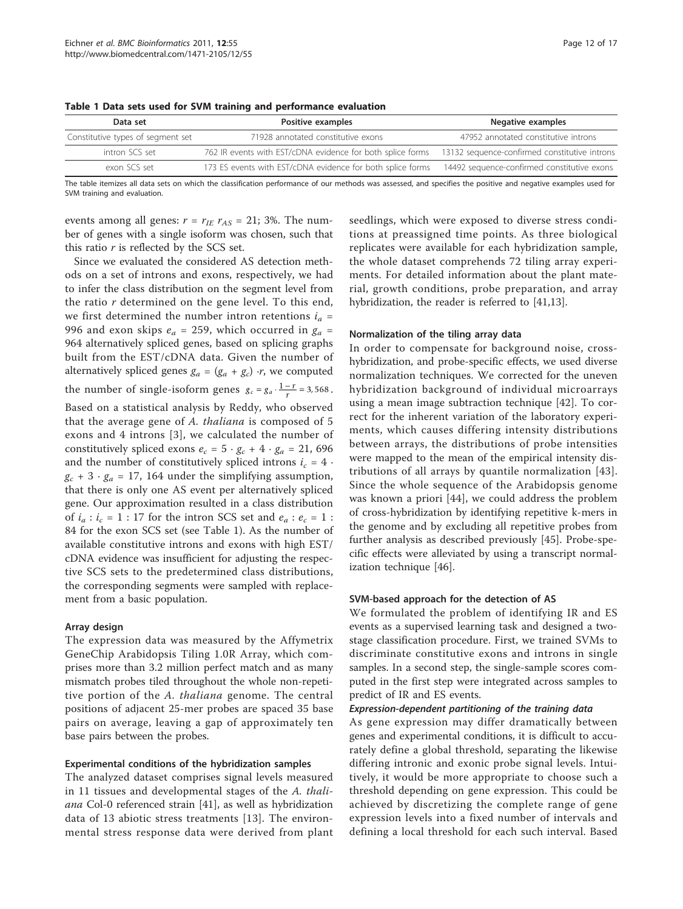| Data set                          | Positive examples                                                                                        | Negative examples                           |
|-----------------------------------|----------------------------------------------------------------------------------------------------------|---------------------------------------------|
| Constitutive types of segment set | 71928 annotated constitutive exons                                                                       | 47952 annotated constitutive introns        |
| intron SCS set                    | 762 IR events with EST/cDNA evidence for both splice forms 13132 sequence-confirmed constitutive introns |                                             |
| exon SCS set                      | 173 ES events with EST/cDNA evidence for both splice forms                                               | 14492 sequence-confirmed constitutive exons |

The table itemizes all data sets on which the classification performance of our methods was assessed, and specifies the positive and negative examples used for SVM training and evaluation.

events among all genes:  $r = r_{IE} r_{AS} = 21$ ; 3%. The number of genes with a single isoform was chosen, such that this ratio  $r$  is reflected by the SCS set.

Since we evaluated the considered AS detection methods on a set of introns and exons, respectively, we had to infer the class distribution on the segment level from the ratio r determined on the gene level. To this end, we first determined the number intron retentions  $i_a$  = 996 and exon skips  $e_a = 259$ , which occurred in  $g_a$  = 964 alternatively spliced genes, based on splicing graphs built from the EST/cDNA data. Given the number of alternatively spliced genes  $g_a = (g_a + g_c) \cdot r$ , we computed the number of single-isoform genes  $g_c = g_a \cdot \frac{1-r}{r} = 3.568$ . Based on a statistical analysis by Reddy, who observed that the average gene of A. thaliana is composed of 5 exons and 4 introns [[3](#page-15-0)], we calculated the number of constitutively spliced exons  $e_c = 5 \cdot g_c + 4 \cdot g_a = 21,696$ and the number of constitutively spliced introns  $i_c = 4 \cdot$  $g_c + 3 \cdot g_a = 17$ , 164 under the simplifying assumption, that there is only one AS event per alternatively spliced gene. Our approximation resulted in a class distribution of  $i_a$ :  $i_c$  = 1:17 for the intron SCS set and  $e_a$ :  $e_c$  = 1: 84 for the exon SCS set (see Table [1\)](#page-11-0). As the number of available constitutive introns and exons with high EST/ cDNA evidence was insufficient for adjusting the respective SCS sets to the predetermined class distributions, the corresponding segments were sampled with replacement from a basic population.

## Array design

The expression data was measured by the Affymetrix GeneChip Arabidopsis Tiling 1.0R Array, which comprises more than 3.2 million perfect match and as many mismatch probes tiled throughout the whole non-repetitive portion of the A. thaliana genome. The central positions of adjacent 25-mer probes are spaced 35 base pairs on average, leaving a gap of approximately ten base pairs between the probes.

## Experimental conditions of the hybridization samples

<span id="page-11-0"></span>The analyzed dataset comprises signal levels measured in 11 tissues and developmental stages of the A. thaliana Col-0 referenced strain [[41](#page-16-0)], as well as hybridization data of 13 abiotic stress treatments [[13](#page-15-0)]. The environmental stress response data were derived from plant

seedlings, which were exposed to diverse stress conditions at preassigned time points. As three biological replicates were available for each hybridization sample, the whole dataset comprehends 72 tiling array experiments. For detailed information about the plant material, growth conditions, probe preparation, and array hybridization, the reader is referred to [\[41,](#page-16-0)[13\]](#page-15-0).

## Normalization of the tiling array data

In order to compensate for background noise, crosshybridization, and probe-specific effects, we used diverse normalization techniques. We corrected for the uneven hybridization background of individual microarrays using a mean image subtraction technique [\[42\]](#page-16-0). To correct for the inherent variation of the laboratory experiments, which causes differing intensity distributions between arrays, the distributions of probe intensities were mapped to the mean of the empirical intensity distributions of all arrays by quantile normalization [[43](#page-16-0)]. Since the whole sequence of the Arabidopsis genome was known a priori [[44\]](#page-16-0), we could address the problem of cross-hybridization by identifying repetitive k-mers in the genome and by excluding all repetitive probes from further analysis as described previously [[45\]](#page-16-0). Probe-specific effects were alleviated by using a transcript normalization technique [[46](#page-16-0)].

## SVM-based approach for the detection of AS

We formulated the problem of identifying IR and ES events as a supervised learning task and designed a twostage classification procedure. First, we trained SVMs to discriminate constitutive exons and introns in single samples. In a second step, the single-sample scores computed in the first step were integrated across samples to predict of IR and ES events.

#### Expression-dependent partitioning of the training data

As gene expression may differ dramatically between genes and experimental conditions, it is difficult to accurately define a global threshold, separating the likewise differing intronic and exonic probe signal levels. Intuitively, it would be more appropriate to choose such a threshold depending on gene expression. This could be achieved by discretizing the complete range of gene expression levels into a fixed number of intervals and defining a local threshold for each such interval. Based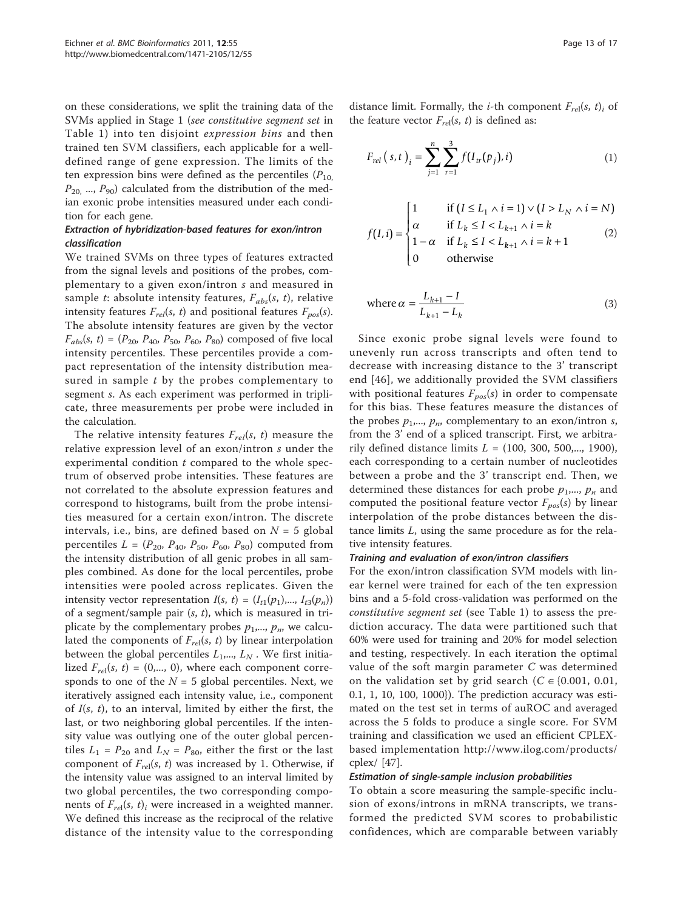on these considerations, we split the training data of the SVMs applied in Stage 1 (see constitutive segment set in Table [1](#page-11-0)) into ten disjoint expression bins and then trained ten SVM classifiers, each applicable for a welldefined range of gene expression. The limits of the ten expression bins were defined as the percentiles  $(P_{10})$  $P_{20, \dots, P_{90}}$  calculated from the distribution of the median exonic probe intensities measured under each condition for each gene.

## Extraction of hybridization-based features for exon/intron classification

We trained SVMs on three types of features extracted from the signal levels and positions of the probes, complementary to a given exon/intron s and measured in sample t: absolute intensity features,  $F_{abs}(s, t)$ , relative intensity features  $F_{rel}(s, t)$  and positional features  $F_{pos}(s)$ . The absolute intensity features are given by the vector  $F_{abs}(s, t) = (P_{20}, P_{40}, P_{50}, P_{60}, P_{80})$  composed of five local intensity percentiles. These percentiles provide a compact representation of the intensity distribution measured in sample  $t$  by the probes complementary to segment s. As each experiment was performed in triplicate, three measurements per probe were included in the calculation.

The relative intensity features  $F_{rel}(s, t)$  measure the relative expression level of an exon/intron s under the experimental condition  $t$  compared to the whole spectrum of observed probe intensities. These features are not correlated to the absolute expression features and correspond to histograms, built from the probe intensities measured for a certain exon/intron. The discrete intervals, i.e., bins, are defined based on  $N = 5$  global percentiles  $L = (P_{20}, P_{40}, P_{50}, P_{60}, P_{80})$  computed from the intensity distribution of all genic probes in all samples combined. As done for the local percentiles, probe intensities were pooled across replicates. Given the intensity vector representation  $I(s, t) = (I_{t1}(p_1),..., I_{t3}(p_n))$ of a segment/sample pair  $(s, t)$ , which is measured in triplicate by the complementary probes  $p_1$ ,...,  $p_n$ , we calculated the components of  $F_{rel}(s, t)$  by linear interpolation between the global percentiles  $L_1$ ,...,  $L_N$ . We first initialized  $F_{rel}(s, t) = (0,..., 0)$ , where each component corresponds to one of the  $N = 5$  global percentiles. Next, we iteratively assigned each intensity value, i.e., component of  $I(s, t)$ , to an interval, limited by either the first, the last, or two neighboring global percentiles. If the intensity value was outlying one of the outer global percentiles  $L_1 = P_{20}$  and  $L_N = P_{80}$ , either the first or the last component of  $F_{rel}(s, t)$  was increased by 1. Otherwise, if the intensity value was assigned to an interval limited by two global percentiles, the two corresponding components of  $F_{rel}(s, t)$ <sub>i</sub> were increased in a weighted manner. We defined this increase as the reciprocal of the relative distance of the intensity value to the corresponding distance limit. Formally, the *i*-th component  $F_{rel}(s, t)$  of the feature vector  $F_{rel}(s, t)$  is defined as:

$$
F_{rel}(s,t)_i = \sum_{j=1}^n \sum_{r=1}^3 f(I_{tr}(p_j),i)
$$
 (1)

$$
f(I,i) = \begin{cases} 1 & \text{if } (I \le L_1 \land i = 1) \lor (I > L_N \land i = N) \\ \alpha & \text{if } L_k \le I < L_{k+1} \land i = k \\ 1 - \alpha & \text{if } L_k \le I < L_{k+1} \land i = k+1 \\ 0 & \text{otherwise} \end{cases} \tag{2}
$$

where 
$$
\alpha = \frac{L_{k+1} - I}{L_{k+1} - L_k} \tag{3}
$$

Since exonic probe signal levels were found to unevenly run across transcripts and often tend to decrease with increasing distance to the 3' transcript end [[46](#page-16-0)], we additionally provided the SVM classifiers with positional features  $F_{pos}(s)$  in order to compensate for this bias. These features measure the distances of the probes  $p_1,..., p_n$ , complementary to an exon/intron s, from the 3' end of a spliced transcript. First, we arbitrarily defined distance limits  $L = (100, 300, 500,..., 1900)$ , each corresponding to a certain number of nucleotides between a probe and the 3' transcript end. Then, we determined these distances for each probe  $p_1$ ,...,  $p_n$  and computed the positional feature vector  $F_{pos}(s)$  by linear interpolation of the probe distances between the distance limits L, using the same procedure as for the relative intensity features.

#### Training and evaluation of exon/intron classifiers

For the exon/intron classification SVM models with linear kernel were trained for each of the ten expression bins and a 5-fold cross-validation was performed on the constitutive segment set (see Table [1](#page-11-0)) to assess the prediction accuracy. The data were partitioned such that 60% were used for training and 20% for model selection and testing, respectively. In each iteration the optimal value of the soft margin parameter C was determined on the validation set by grid search ( $C \in \{0.001, 0.01,$ 0.1, 1, 10, 100, 1000}). The prediction accuracy was estimated on the test set in terms of auROC and averaged across the 5 folds to produce a single score. For SVM training and classification we used an efficient CPLEXbased implementation [http://www.ilog.com/products/](http://www.ilog.com/products/cplex/) [cplex/](http://www.ilog.com/products/cplex/) [[47\]](#page-16-0).

#### Estimation of single-sample inclusion probabilities

To obtain a score measuring the sample-specific inclusion of exons/introns in mRNA transcripts, we transformed the predicted SVM scores to probabilistic confidences, which are comparable between variably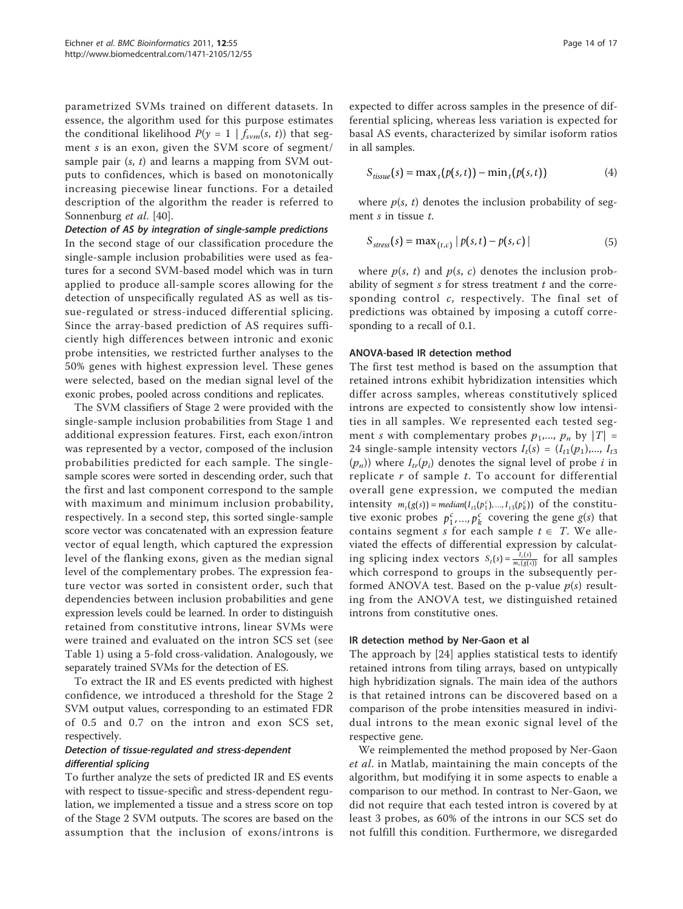parametrized SVMs trained on different datasets. In essence, the algorithm used for this purpose estimates the conditional likelihood  $P(y = 1 | f_{sym}(s, t))$  that segment s is an exon, given the SVM score of segment/ sample pair  $(s, t)$  and learns a mapping from SVM outputs to confidences, which is based on monotonically increasing piecewise linear functions. For a detailed description of the algorithm the reader is referred to Sonnenburg et al. [\[40](#page-16-0)].

## Detection of AS by integration of single-sample predictions

In the second stage of our classification procedure the single-sample inclusion probabilities were used as features for a second SVM-based model which was in turn applied to produce all-sample scores allowing for the detection of unspecifically regulated AS as well as tissue-regulated or stress-induced differential splicing. Since the array-based prediction of AS requires sufficiently high differences between intronic and exonic probe intensities, we restricted further analyses to the 50% genes with highest expression level. These genes were selected, based on the median signal level of the exonic probes, pooled across conditions and replicates.

The SVM classifiers of Stage 2 were provided with the single-sample inclusion probabilities from Stage 1 and additional expression features. First, each exon/intron was represented by a vector, composed of the inclusion probabilities predicted for each sample. The singlesample scores were sorted in descending order, such that the first and last component correspond to the sample with maximum and minimum inclusion probability, respectively. In a second step, this sorted single-sample score vector was concatenated with an expression feature vector of equal length, which captured the expression level of the flanking exons, given as the median signal level of the complementary probes. The expression feature vector was sorted in consistent order, such that dependencies between inclusion probabilities and gene expression levels could be learned. In order to distinguish retained from constitutive introns, linear SVMs were were trained and evaluated on the intron SCS set (see Table [1\)](#page-11-0) using a 5-fold cross-validation. Analogously, we separately trained SVMs for the detection of ES.

To extract the IR and ES events predicted with highest confidence, we introduced a threshold for the Stage 2 SVM output values, corresponding to an estimated FDR of 0.5 and 0.7 on the intron and exon SCS set, respectively.

## Detection of tissue-regulated and stress-dependent differential splicing

To further analyze the sets of predicted IR and ES events with respect to tissue-specific and stress-dependent regulation, we implemented a tissue and a stress score on top of the Stage 2 SVM outputs. The scores are based on the assumption that the inclusion of exons/introns is expected to differ across samples in the presence of differential splicing, whereas less variation is expected for basal AS events, characterized by similar isoform ratios in all samples.

$$
S_{tissue}(s) = \max_{t} (p(s, t)) - \min_{t} (p(s, t))
$$
\n(4)

where  $p(s, t)$  denotes the inclusion probability of segment  $s$  in tissue  $t$ .

$$
S_{stress}(s) = \max_{(t,c)} |p(s,t) - p(s,c)| \qquad (5)
$$

where  $p(s, t)$  and  $p(s, c)$  denotes the inclusion probability of segment  $s$  for stress treatment  $t$  and the corresponding control  $c$ , respectively. The final set of predictions was obtained by imposing a cutoff corresponding to a recall of 0.1.

## ANOVA-based IR detection method

The first test method is based on the assumption that retained introns exhibit hybridization intensities which differ across samples, whereas constitutively spliced introns are expected to consistently show low intensities in all samples. We represented each tested segment s with complementary probes  $p_1,..., p_n$  by  $|T| =$ 24 single-sample intensity vectors  $I_t(s) = (I_{t1}(p_1),..., I_{t3})$  $(p_n)$ ) where  $I_{tr}(p_i)$  denotes the signal level of probe *i* in replicate  $r$  of sample  $t$ . To account for differential overall gene expression, we computed the median intensity  $m_t(g(s)) = median(I_{t1}(p_1^c),...,I_{t3}(p_k^c))$  of the constitutive exonic probes  $p_1^c$ ,  $\ldots$ ,  $p_k^c$  covering the gene  $g(s)$  that contains segment s for each sample  $t \in T$ . We alleviated the effects of differential expression by calculating splicing index vectors  $S_t(s) = \frac{I_t(s)}{m_t(g(s))}$  for all samples which correspond to groups in the subsequently performed ANOVA test. Based on the p-value  $p(s)$  resulting from the ANOVA test, we distinguished retained introns from constitutive ones.

#### IR detection method by Ner-Gaon et al

The approach by [[24\]](#page-15-0) applies statistical tests to identify retained introns from tiling arrays, based on untypically high hybridization signals. The main idea of the authors is that retained introns can be discovered based on a comparison of the probe intensities measured in individual introns to the mean exonic signal level of the respective gene.

We reimplemented the method proposed by Ner-Gaon et al. in Matlab, maintaining the main concepts of the algorithm, but modifying it in some aspects to enable a comparison to our method. In contrast to Ner-Gaon, we did not require that each tested intron is covered by at least 3 probes, as 60% of the introns in our SCS set do not fulfill this condition. Furthermore, we disregarded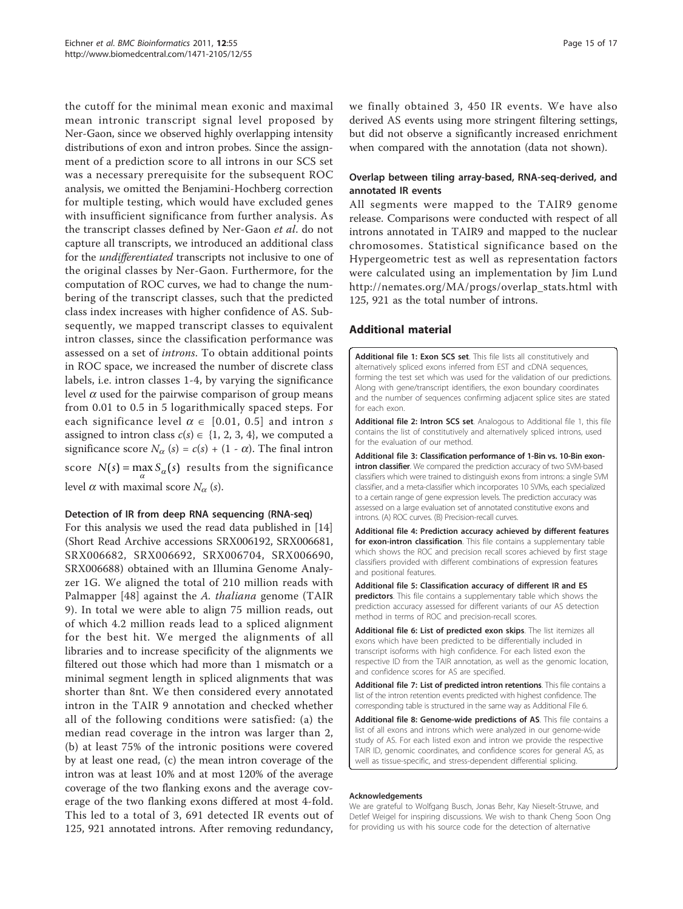the cutoff for the minimal mean exonic and maximal mean intronic transcript signal level proposed by Ner-Gaon, since we observed highly overlapping intensity distributions of exon and intron probes. Since the assignment of a prediction score to all introns in our SCS set was a necessary prerequisite for the subsequent ROC analysis, we omitted the Benjamini-Hochberg correction for multiple testing, which would have excluded genes with insufficient significance from further analysis. As the transcript classes defined by Ner-Gaon et al. do not capture all transcripts, we introduced an additional class for the undifferentiated transcripts not inclusive to one of the original classes by Ner-Gaon. Furthermore, for the computation of ROC curves, we had to change the numbering of the transcript classes, such that the predicted class index increases with higher confidence of AS. Subsequently, we mapped transcript classes to equivalent intron classes, since the classification performance was assessed on a set of introns. To obtain additional points in ROC space, we increased the number of discrete class labels, i.e. intron classes 1-4, by varying the significance level  $\alpha$  used for the pairwise comparison of group means from 0.01 to 0.5 in 5 logarithmically spaced steps. For each significance level  $\alpha \in [0.01, 0.5]$  and intron s assigned to intron class  $c(s) \in \{1, 2, 3, 4\}$ , we computed a significance score  $N_{\alpha}(s) = c(s) + (1 - \alpha)$ . The final intron score  $N(s) = \max_{\alpha} S_{\alpha}(s)$  results from the significance level  $\alpha$  with maximal score  $N_{\alpha}$  (s).

#### Detection of IR from deep RNA sequencing (RNA-seq)

For this analysis we used the read data published in [[14](#page-15-0)] (Short Read Archive accessions SRX006192, SRX006681, SRX006682, SRX006692, SRX006704, SRX006690, SRX006688) obtained with an Illumina Genome Analyzer 1G. We aligned the total of 210 million reads with Palmapper [\[48\]](#page-16-0) against the A. thaliana genome (TAIR 9). In total we were able to align 75 million reads, out of which 4.2 million reads lead to a spliced alignment for the best hit. We merged the alignments of all libraries and to increase specificity of the alignments we filtered out those which had more than 1 mismatch or a minimal segment length in spliced alignments that was shorter than 8nt. We then considered every annotated intron in the TAIR 9 annotation and checked whether all of the following conditions were satisfied: (a) the median read coverage in the intron was larger than 2, (b) at least 75% of the intronic positions were covered by at least one read, (c) the mean intron coverage of the intron was at least 10% and at most 120% of the average coverage of the two flanking exons and the average coverage of the two flanking exons differed at most 4-fold. This led to a total of 3, 691 detected IR events out of 125, 921 annotated introns. After removing redundancy,

we finally obtained 3, 450 IR events. We have also derived AS events using more stringent filtering settings, but did not observe a significantly increased enrichment when compared with the annotation (data not shown).

## Overlap between tiling array-based, RNA-seq-derived, and annotated IR events

All segments were mapped to the TAIR9 genome release. Comparisons were conducted with respect of all introns annotated in TAIR9 and mapped to the nuclear chromosomes. Statistical significance based on the Hypergeometric test as well as representation factors were calculated using an implementation by Jim Lund [http://nemates.org/MA/progs/overlap\\_stats.html](http://nemates.org/MA/progs/overlap_stats.html) with 125, 921 as the total number of introns.

## Additional material

[Additional file 1: E](http://www.biomedcentral.com/content/supplementary/1471-2105-12-55-S1.TXT)xon SCS set. This file lists all constitutively and alternatively spliced exons inferred from EST and cDNA sequences, forming the test set which was used for the validation of our predictions. Along with gene/transcript identifiers, the exon boundary coordinates and the number of sequences confirming adjacent splice sites are stated for each exon.

[Additional file 2: I](http://www.biomedcentral.com/content/supplementary/1471-2105-12-55-S2.TXT)ntron SCS set. Analogous to Additional file [1,](#page-14-0) this file contains the list of constitutively and alternatively spliced introns, used for the evaluation of our method.

[Additional file 3: C](http://www.biomedcentral.com/content/supplementary/1471-2105-12-55-S3.PDF)lassification performance of 1-Bin vs. 10-Bin exonintron classifier. We compared the prediction accuracy of two SVM-based classifiers which were trained to distinguish exons from introns: a single SVM classifier, and a meta-classifier which incorporates 10 SVMs, each specialized to a certain range of gene expression levels. The prediction accuracy was assessed on a large evaluation set of annotated constitutive exons and introns. (A) ROC curves. (B) Precision-recall curves.

[Additional file 4: P](http://www.biomedcentral.com/content/supplementary/1471-2105-12-55-S4.PDF)rediction accuracy achieved by different features for exon-intron classification. This file contains a supplementary table which shows the ROC and precision recall scores achieved by first stage classifiers provided with different combinations of expression features and positional features.

[Additional file 5: C](http://www.biomedcentral.com/content/supplementary/1471-2105-12-55-S5.PDF)lassification accuracy of different IR and ES predictors. This file contains a supplementary table which shows the prediction accuracy assessed for different variants of our AS detection method in terms of ROC and precision-recall scores.

[Additional file 6: L](http://www.biomedcentral.com/content/supplementary/1471-2105-12-55-S6.TXT)ist of predicted exon skips. The list itemizes all exons which have been predicted to be differentially included in transcript isoforms with high confidence. For each listed exon the respective ID from the TAIR annotation, as well as the genomic location, and confidence scores for AS are specified.

[Additional file 7: L](http://www.biomedcentral.com/content/supplementary/1471-2105-12-55-S7.TXT)ist of predicted intron retentions. This file contains a list of the intron retention events predicted with highest confidence. The corresponding table is structured in the same way as Additional File [6](#page-14-0).

[Additional file 8: G](http://www.biomedcentral.com/content/supplementary/1471-2105-12-55-S8.TXT)enome-wide predictions of AS. This file contains a list of all exons and introns which were analyzed in our genome-wide study of AS. For each listed exon and intron we provide the respective TAIR ID, genomic coordinates, and confidence scores for general AS, as well as tissue-specific, and stress-dependent differential splicing.

#### Acknowledgements

<span id="page-14-0"></span>We are grateful to Wolfgang Busch, Jonas Behr, Kay Nieselt-Struwe, and Detlef Weigel for inspiring discussions. We wish to thank Cheng Soon Ong for providing us with his source code for the detection of alternative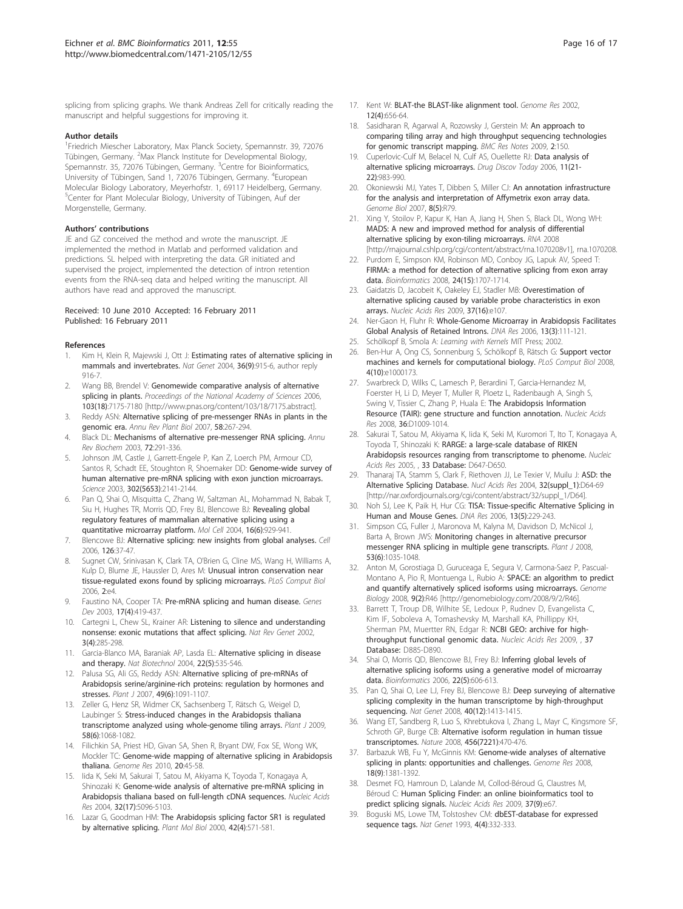#### Author details

<sup>1</sup>Friedrich Miescher Laboratory, Max Planck Society, Spemannstr. 39, 72076 Tübingen, Germany. <sup>2</sup>Max Planck Institute for Developmental Biology, Spemannstr. 35, 72076 Tübingen, Germany. <sup>3</sup>Centre for Bioinformatics, University of Tübingen, Sand 1, 72076 Tübingen, Germany. <sup>4</sup>European Molecular Biology Laboratory, Meyerhofstr. 1, 69117 Heidelberg, Germany. 5 Center for Plant Molecular Biology, University of Tübingen, Auf der Morgenstelle, Germany.

#### Authors' contributions

JE and GZ conceived the method and wrote the manuscript. JE implemented the method in Matlab and performed validation and predictions. SL helped with interpreting the data. GR initiated and supervised the project, implemented the detection of intron retention events from the RNA-seq data and helped writing the manuscript. All authors have read and approved the manuscript.

#### Received: 10 June 2010 Accepted: 16 February 2011 Published: 16 February 2011

#### References

- 1. Kim H, Klein R, Majewski J, Ott J: [Estimating rates of alternative splicing in](http://www.ncbi.nlm.nih.gov/pubmed/15340420?dopt=Abstract) [mammals and invertebrates.](http://www.ncbi.nlm.nih.gov/pubmed/15340420?dopt=Abstract) Nat Genet 2004, 36(9):915-6, author reply 916-7.
- 2. Wang BB, Brendel V: Genomewide comparative analysis of alternative splicing in plants. Proceedings of the National Academy of Sciences 2006, 103(18):7175-7180 [\[http://www.pnas.org/content/103/18/7175.abstract\]](http://www.pnas.org/content/103/18/7175.abstract).
- 3. Reddy ASN: [Alternative splicing of pre-messenger RNAs in plants in the](http://www.ncbi.nlm.nih.gov/pubmed/17222076?dopt=Abstract) [genomic era.](http://www.ncbi.nlm.nih.gov/pubmed/17222076?dopt=Abstract) Annu Rev Plant Biol 2007, 58:267-294.
- 4. Black DL: [Mechanisms of alternative pre-messenger RNA splicing.](http://www.ncbi.nlm.nih.gov/pubmed/12626338?dopt=Abstract) Annu Rev Biochem 2003, 72:291-336.
- 5. Johnson JM, Castle J, Garrett-Engele P, Kan Z, Loerch PM, Armour CD, Santos R, Schadt EE, Stoughton R, Shoemaker DD: [Genome-wide survey of](http://www.ncbi.nlm.nih.gov/pubmed/14684825?dopt=Abstract) [human alternative pre-mRNA splicing with exon junction microarrays.](http://www.ncbi.nlm.nih.gov/pubmed/14684825?dopt=Abstract) Science 2003, 302(5653):2141-2144.
- 6. Pan Q, Shai O, Misquitta C, Zhang W, Saltzman AL, Mohammad N, Babak T, Siu H, Hughes TR, Morris QD, Frey BJ, Blencowe BJ: [Revealing global](http://www.ncbi.nlm.nih.gov/pubmed/15610736?dopt=Abstract) [regulatory features of mammalian alternative splicing using a](http://www.ncbi.nlm.nih.gov/pubmed/15610736?dopt=Abstract) [quantitative microarray platform.](http://www.ncbi.nlm.nih.gov/pubmed/15610736?dopt=Abstract) Mol Cell 2004, 16(6):929-941.
- 7. Blencowe BJ: [Alternative splicing: new insights from global analyses.](http://www.ncbi.nlm.nih.gov/pubmed/16839875?dopt=Abstract) Cell 2006, 126:37-47.
- 8. Sugnet CW, Srinivasan K, Clark TA, O'Brien G, Cline MS, Wang H, Williams A, Kulp D, Blume JE, Haussler D, Ares M: [Unusual intron conservation near](http://www.ncbi.nlm.nih.gov/pubmed/16424921?dopt=Abstract) [tissue-regulated exons found by splicing microarrays.](http://www.ncbi.nlm.nih.gov/pubmed/16424921?dopt=Abstract) PLoS Comput Biol 2006, 2:e4.
- 9. Faustino NA, Cooper TA: [Pre-mRNA splicing and human disease.](http://www.ncbi.nlm.nih.gov/pubmed/12600935?dopt=Abstract) Genes Dev 2003, 17(4):419-437
- 10. Cartegni L, Chew SL, Krainer AR: [Listening to silence and understanding](http://www.ncbi.nlm.nih.gov/pubmed/11967553?dopt=Abstract) [nonsense: exonic mutations that affect splicing.](http://www.ncbi.nlm.nih.gov/pubmed/11967553?dopt=Abstract) Nat Rev Genet 2002, 3(4):285-298.
- 11. Garcia-Blanco MA, Baraniak AP, Lasda EL: [Alternative splicing in disease](http://www.ncbi.nlm.nih.gov/pubmed/15122293?dopt=Abstract) [and therapy.](http://www.ncbi.nlm.nih.gov/pubmed/15122293?dopt=Abstract) Nat Biotechnol 2004, 22(5):535-546.
- 12. Palusa SG, Ali GS, Reddy ASN: [Alternative splicing of pre-mRNAs of](http://www.ncbi.nlm.nih.gov/pubmed/17319848?dopt=Abstract) [Arabidopsis serine/arginine-rich proteins: regulation by hormones and](http://www.ncbi.nlm.nih.gov/pubmed/17319848?dopt=Abstract) [stresses.](http://www.ncbi.nlm.nih.gov/pubmed/17319848?dopt=Abstract) Plant J 2007, 49(6):1091-1107.
- 13. Zeller G, Henz SR, Widmer CK, Sachsenberg T, Rätsch G, Weigel D, Laubinger S: [Stress-induced changes in the Arabidopsis thaliana](http://www.ncbi.nlm.nih.gov/pubmed/19222804?dopt=Abstract) [transcriptome analyzed using whole-genome tiling arrays.](http://www.ncbi.nlm.nih.gov/pubmed/19222804?dopt=Abstract) Plant J 2009, 58(6):1068-1082.
- 14. Filichkin SA, Priest HD, Givan SA, Shen R, Bryant DW, Fox SE, Wong WK, Mockler TC: [Genome-wide mapping of alternative splicing in Arabidopsis](http://www.ncbi.nlm.nih.gov/pubmed/19858364?dopt=Abstract) [thaliana.](http://www.ncbi.nlm.nih.gov/pubmed/19858364?dopt=Abstract) Genome Res 2010, 20:45-58.
- 15. Iida K, Seki M, Sakurai T, Satou M, Akiyama K, Toyoda T, Konagaya A, Shinozaki K: [Genome-wide analysis of alternative pre-mRNA splicing in](http://www.ncbi.nlm.nih.gov/pubmed/15452276?dopt=Abstract) [Arabidopsis thaliana based on full-length cDNA sequences.](http://www.ncbi.nlm.nih.gov/pubmed/15452276?dopt=Abstract) Nucleic Acids Res 2004, 32(17):5096-5103.
- <span id="page-15-0"></span>16. Lazar G, Goodman HM: [The Arabidopsis splicing factor SR1 is regulated](http://www.ncbi.nlm.nih.gov/pubmed/10809003?dopt=Abstract) [by alternative splicing.](http://www.ncbi.nlm.nih.gov/pubmed/10809003?dopt=Abstract) Plant Mol Biol 2000, 42(4):571-581.
- 17. Kent W: [BLAT-the BLAST-like alignment tool.](http://www.ncbi.nlm.nih.gov/pubmed/11932250?dopt=Abstract) Genome Res 2002. 12(4):656-64.
- 18. Sasidharan R, Agarwal A, Rozowsky J, Gerstein M: [An approach to](http://www.ncbi.nlm.nih.gov/pubmed/19630981?dopt=Abstract) [comparing tiling array and high throughput sequencing technologies](http://www.ncbi.nlm.nih.gov/pubmed/19630981?dopt=Abstract) [for genomic transcript mapping.](http://www.ncbi.nlm.nih.gov/pubmed/19630981?dopt=Abstract) BMC Res Notes 2009, 2:150.
- 19. Cuperlovic-Culf M, Belacel N, Culf AS, Ouellette RJ: [Data analysis of](http://www.ncbi.nlm.nih.gov/pubmed/17055407?dopt=Abstract) [alternative splicing microarrays.](http://www.ncbi.nlm.nih.gov/pubmed/17055407?dopt=Abstract) Drug Discov Today 2006, 11(21- 22):983-990.
- 20. Okoniewski MJ, Yates T, Dibben S, Miller CJ: [An annotation infrastructure](http://www.ncbi.nlm.nih.gov/pubmed/17498294?dopt=Abstract) [for the analysis and interpretation of Affymetrix exon array data.](http://www.ncbi.nlm.nih.gov/pubmed/17498294?dopt=Abstract) Genome Biol 2007, 8(5):R79.
- 21. Xing Y, Stoilov P, Kapur K, Han A, Jiang H, Shen S, Black DL, Wong WH: MADS: A new and improved method for analysis of differential alternative splicing by exon-tiling microarrays. RNA 2008 [http://rnajournal.cshlp.org/cgi/content/abstract/rna.1070208v1], rna.1070208.
- 22. Purdom E, Simpson KM, Robinson MD, Conboy JG, Lapuk AV, Speed T: [FIRMA: a method for detection of alternative splicing from exon array](http://www.ncbi.nlm.nih.gov/pubmed/18573797?dopt=Abstract) [data.](http://www.ncbi.nlm.nih.gov/pubmed/18573797?dopt=Abstract) Bioinformatics 2008, 24(15):1707-1714.
- 23. Gaidatzis D, Jacobeit K, Oakeley EJ, Stadler MB: [Overestimation of](http://www.ncbi.nlm.nih.gov/pubmed/19528075?dopt=Abstract) [alternative splicing caused by variable probe characteristics in exon](http://www.ncbi.nlm.nih.gov/pubmed/19528075?dopt=Abstract) [arrays.](http://www.ncbi.nlm.nih.gov/pubmed/19528075?dopt=Abstract) Nucleic Acids Res 2009, 37(16):e107.
- 24. Ner-Gaon H, Fluhr R: [Whole-Genome Microarray in Arabidopsis Facilitates](http://www.ncbi.nlm.nih.gov/pubmed/16980712?dopt=Abstract) [Global Analysis of Retained Introns.](http://www.ncbi.nlm.nih.gov/pubmed/16980712?dopt=Abstract) DNA Res 2006, 13(3):111-121.
- 25. Schölkopf B, Smola A: Learning with Kernels MIT Press; 2002.
- 26. Ben-Hur A, Ong CS, Sonnenburg S, Schölkopf B, Rätsch G: [Support vector](http://www.ncbi.nlm.nih.gov/pubmed/18974822?dopt=Abstract) [machines and kernels for computational biology.](http://www.ncbi.nlm.nih.gov/pubmed/18974822?dopt=Abstract) PLoS Comput Biol 2008, 4(10):e1000173.
- 27. Swarbreck D, Wilks C, Lamesch P, Berardini T, Garcia-Hernandez M, Foerster H, Li D, Meyer T, Muller R, Ploetz L, Radenbaugh A, Singh S, Swing V, Tissier C, Zhang P, Huala E: [The Arabidopsis Information](http://www.ncbi.nlm.nih.gov/pubmed/17986450?dopt=Abstract) [Resource \(TAIR\): gene structure and function annotation.](http://www.ncbi.nlm.nih.gov/pubmed/17986450?dopt=Abstract) Nucleic Acids Res 2008, 36:D1009-1014.
- 28. Sakurai T, Satou M, Akiyama K, Iida K, Seki M, Kuromori T, Ito T, Konagaya A, Toyoda T, Shinozaki K: [RARGE: a large-scale database of RIKEN](http://www.ncbi.nlm.nih.gov/pubmed/15608280?dopt=Abstract) [Arabidopsis resources ranging from transcriptome to phenome.](http://www.ncbi.nlm.nih.gov/pubmed/15608280?dopt=Abstract) Nucleic Acids Res 2005, , 33 Database: D647-D650.
- 29. Thanaraj TA, Stamm S, Clark F, Riethoven JJ, Le Texier V, Muilu J: [ASD:](http://www.ncbi.nlm.nih.gov/pubmed/14681360?dopt=Abstract) the [Alternative Splicing Database.](http://www.ncbi.nlm.nih.gov/pubmed/14681360?dopt=Abstract) Nucl Acids Res 2004, 32(suppl\_1):D64-69 [[http://nar.oxfordjournals.org/cgi/content/abstract/32/suppl\\_1/D64\]](http://nar.oxfordjournals.org/cgi/content/abstract/32/suppl_1/D64).
- 30. Noh SJ, Lee K, Paik H, Hur CG: [TISA: Tissue-specific Alternative Splicing in](http://www.ncbi.nlm.nih.gov/pubmed/17107969?dopt=Abstract) [Human and Mouse Genes.](http://www.ncbi.nlm.nih.gov/pubmed/17107969?dopt=Abstract) DNA Res 2006, 13(5):229-243.
- 31. Simpson CG, Fuller J, Maronova M, Kalyna M, Davidson D, McNicol J, Barta A, Brown JWS: [Monitoring changes in alternative precursor](http://www.ncbi.nlm.nih.gov/pubmed/18088312?dopt=Abstract) [messenger RNA splicing in multiple gene transcripts.](http://www.ncbi.nlm.nih.gov/pubmed/18088312?dopt=Abstract) Plant J 2008, 53(6):1035-1048.
- 32. Anton M, Gorostiaga D, Guruceaga E, Segura V, Carmona-Saez P, Pascual-Montano A, Pio R, Montuenga L, Rubio A: [SPACE: an algorithm to predict](http://www.ncbi.nlm.nih.gov/pubmed/18312629?dopt=Abstract) [and quantify alternatively spliced isoforms using microarrays.](http://www.ncbi.nlm.nih.gov/pubmed/18312629?dopt=Abstract) Genome Biology 2008, 9(2):R46 [<http://genomebiology.com/2008/9/2/R46>].
- 33. Barrett T, Troup DB, Wilhite SE, Ledoux P, Rudnev D, Evangelista C, Kim IF, Soboleva A, Tomashevsky M, Marshall KA, Phillippy KH, Sherman PM, Muertter RN, Edgar R: [NCBI GEO: archive for high](http://www.ncbi.nlm.nih.gov/pubmed/18940857?dopt=Abstract)[throughput functional genomic data.](http://www.ncbi.nlm.nih.gov/pubmed/18940857?dopt=Abstract) Nucleic Acids Res 2009, , 37 Database: D885-D890.
- 34. Shai O, Morris QD, Blencowe BJ, Frey BJ: [Inferring global levels of](http://www.ncbi.nlm.nih.gov/pubmed/16403798?dopt=Abstract) [alternative splicing isoforms using a generative model of microarray](http://www.ncbi.nlm.nih.gov/pubmed/16403798?dopt=Abstract) [data.](http://www.ncbi.nlm.nih.gov/pubmed/16403798?dopt=Abstract) Bioinformatics 2006, 22(5):606-613.
- 35. Pan Q, Shai O, Lee LJ, Frey BJ, Blencowe BJ: [Deep surveying of alternative](http://www.ncbi.nlm.nih.gov/pubmed/18978789?dopt=Abstract) [splicing complexity in the human transcriptome by high-throughput](http://www.ncbi.nlm.nih.gov/pubmed/18978789?dopt=Abstract) [sequencing.](http://www.ncbi.nlm.nih.gov/pubmed/18978789?dopt=Abstract) Nat Genet 2008, 40(12):1413-1415.
- 36. Wang ET, Sandberg R, Luo S, Khrebtukova I, Zhang L, Mayr C, Kingsmore SF, Schroth GP, Burge CB: [Alternative isoform regulation in human tissue](http://www.ncbi.nlm.nih.gov/pubmed/18978772?dopt=Abstract) [transcriptomes.](http://www.ncbi.nlm.nih.gov/pubmed/18978772?dopt=Abstract) Nature 2008, 456(7221):470-476.
- 37. Barbazuk WB, Fu Y, McGinnis KM: [Genome-wide analyses of alternative](http://www.ncbi.nlm.nih.gov/pubmed/18669480?dopt=Abstract) [splicing in plants: opportunities and challenges.](http://www.ncbi.nlm.nih.gov/pubmed/18669480?dopt=Abstract) Genome Res 2008, 18(9):1381-1392.
- 38. Desmet FO, Hamroun D, Lalande M, Collod-Béroud G, Claustres M, Béroud C: [Human Splicing Finder: an online bioinformatics tool to](http://www.ncbi.nlm.nih.gov/pubmed/19339519?dopt=Abstract) [predict splicing signals.](http://www.ncbi.nlm.nih.gov/pubmed/19339519?dopt=Abstract) Nucleic Acids Res 2009, 37(9):e67.
- 39. Boguski MS, Lowe TM, Tolstoshev CM: [dbEST-database for expressed](http://www.ncbi.nlm.nih.gov/pubmed/8401577?dopt=Abstract) [sequence tags.](http://www.ncbi.nlm.nih.gov/pubmed/8401577?dopt=Abstract) Nat Genet 1993, 4(4):332-333.